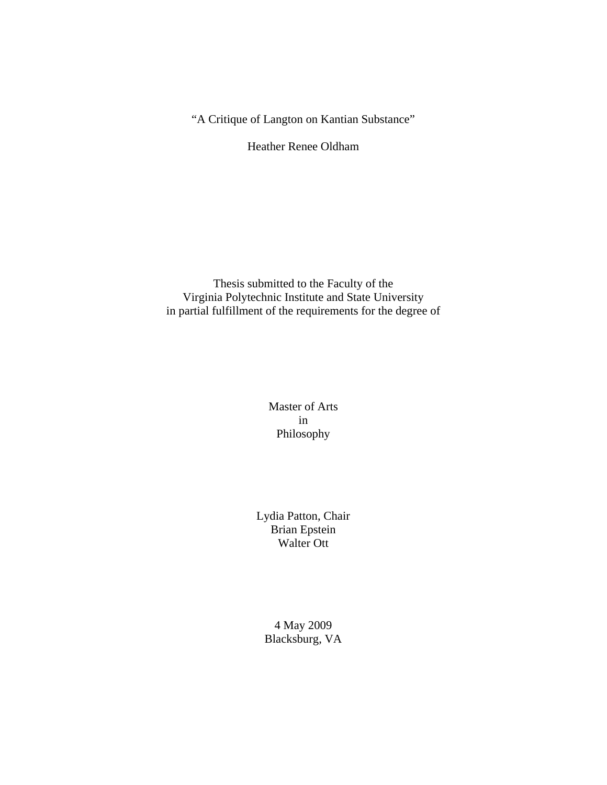"A Critique of Langton on Kantian Substance"

Heather Renee Oldham

Thesis submitted to the Faculty of the Virginia Polytechnic Institute and State University in partial fulfillment of the requirements for the degree of

> Master of Arts in Philosophy

Lydia Patton, Chair Brian Epstein Walter Ott

4 May 2009 Blacksburg, VA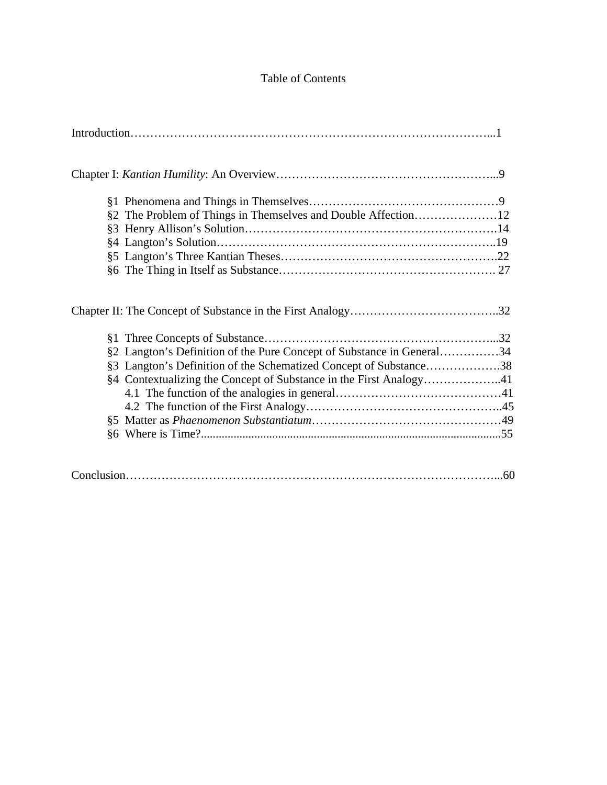## Table of Contents

| §2 The Problem of Things in Themselves and Double Affection12         |  |
|-----------------------------------------------------------------------|--|
|                                                                       |  |
|                                                                       |  |
|                                                                       |  |
|                                                                       |  |
|                                                                       |  |
|                                                                       |  |
| §2 Langton's Definition of the Pure Concept of Substance in General34 |  |
| §3 Langton's Definition of the Schematized Concept of Substance38     |  |
| §4 Contextualizing the Concept of Substance in the First Analogy41    |  |
|                                                                       |  |
|                                                                       |  |
|                                                                       |  |
|                                                                       |  |
|                                                                       |  |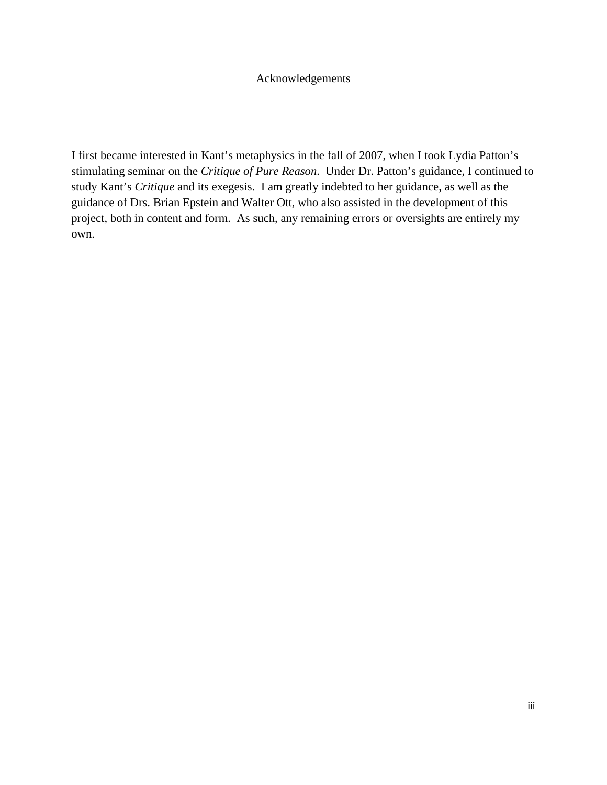## Acknowledgements

I first became interested in Kant's metaphysics in the fall of 2007, when I took Lydia Patton's stimulating seminar on the *Critique of Pure Reason*. Under Dr. Patton's guidance, I continued to study Kant's *Critique* and its exegesis. I am greatly indebted to her guidance, as well as the guidance of Drs. Brian Epstein and Walter Ott, who also assisted in the development of this project, both in content and form. As such, any remaining errors or oversights are entirely my own.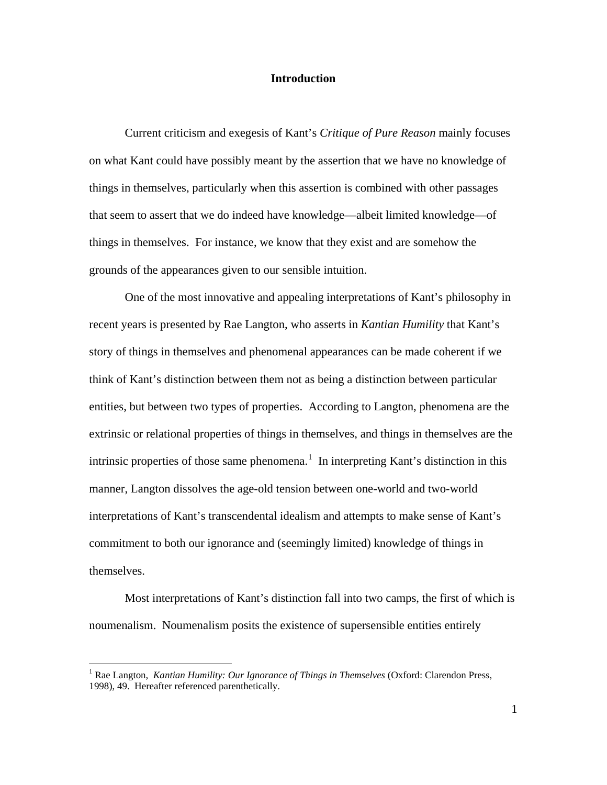#### **Introduction**

Current criticism and exegesis of Kant's *Critique of Pure Reason* mainly focuses on what Kant could have possibly meant by the assertion that we have no knowledge of things in themselves, particularly when this assertion is combined with other passages that seem to assert that we do indeed have knowledge—albeit limited knowledge—of things in themselves. For instance, we know that they exist and are somehow the grounds of the appearances given to our sensible intuition.

One of the most innovative and appealing interpretations of Kant's philosophy in recent years is presented by Rae Langton, who asserts in *Kantian Humility* that Kant's story of things in themselves and phenomenal appearances can be made coherent if we think of Kant's distinction between them not as being a distinction between particular entities, but between two types of properties. According to Langton, phenomena are the extrinsic or relational properties of things in themselves, and things in themselves are the intrinsic properties of those same phenomena.<sup>[1](#page-3-0)</sup> In interpreting Kant's distinction in this manner, Langton dissolves the age-old tension between one-world and two-world interpretations of Kant's transcendental idealism and attempts to make sense of Kant's commitment to both our ignorance and (seemingly limited) knowledge of things in themselves.

Most interpretations of Kant's distinction fall into two camps, the first of which is noumenalism. Noumenalism posits the existence of supersensible entities entirely

<span id="page-3-0"></span><sup>1</sup> Rae Langton, *Kantian Humility: Our Ignorance of Things in Themselves* (Oxford: Clarendon Press, 1998), 49. Hereafter referenced parenthetically.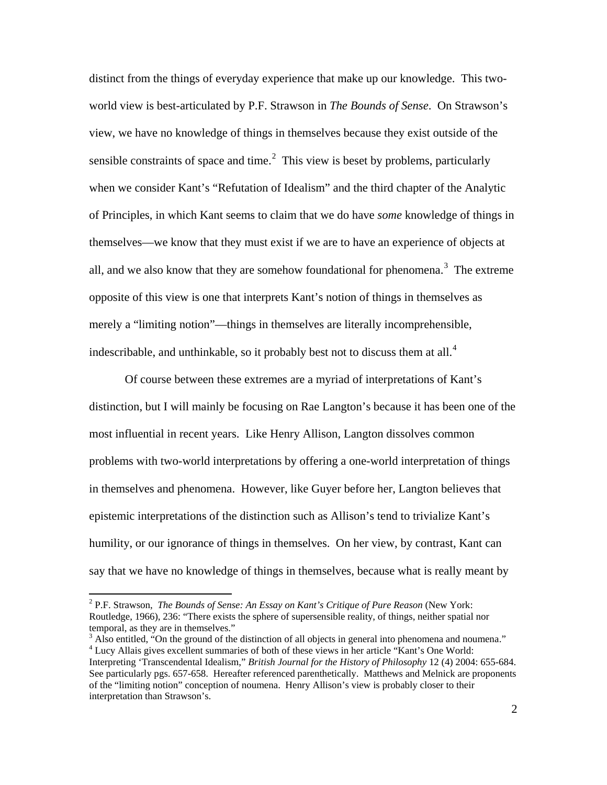distinct from the things of everyday experience that make up our knowledge. This twoworld view is best-articulated by P.F. Strawson in *The Bounds of Sense*. On Strawson's view, we have no knowledge of things in themselves because they exist outside of the sensible constraints of space and time. $<sup>2</sup>$  $<sup>2</sup>$  $<sup>2</sup>$  This view is beset by problems, particularly</sup> when we consider Kant's "Refutation of Idealism" and the third chapter of the Analytic of Principles, in which Kant seems to claim that we do have *some* knowledge of things in themselves—we know that they must exist if we are to have an experience of objects at all, and we also know that they are somehow foundational for phenomena.<sup>[3](#page-4-1)</sup> The extreme opposite of this view is one that interprets Kant's notion of things in themselves as merely a "limiting notion"—things in themselves are literally incomprehensible, indescribable, and unthinkable, so it probably best not to discuss them at all.<sup>[4](#page-4-2)</sup>

Of course between these extremes are a myriad of interpretations of Kant's distinction, but I will mainly be focusing on Rae Langton's because it has been one of the most influential in recent years. Like Henry Allison, Langton dissolves common problems with two-world interpretations by offering a one-world interpretation of things in themselves and phenomena. However, like Guyer before her, Langton believes that epistemic interpretations of the distinction such as Allison's tend to trivialize Kant's humility, or our ignorance of things in themselves. On her view, by contrast, Kant can say that we have no knowledge of things in themselves, because what is really meant by

<span id="page-4-0"></span><sup>2</sup> P.F. Strawson, *The Bounds of Sense: An Essay on Kant's Critique of Pure Reason* (New York: Routledge, 1966), 236: "There exists the sphere of supersensible reality, of things, neither spatial nor temporal, as they are in themselves."

<span id="page-4-2"></span><span id="page-4-1"></span><sup>&</sup>lt;sup>3</sup> Also entitled, "On the ground of the distinction of all objects in general into phenomena and noumena."  $4$  Lucy Allais gives excellent summaries of both of these views in her article "Kant's One World: Interpreting 'Transcendental Idealism," *British Journal for the History of Philosophy* 12 (4) 2004: 655-684. See particularly pgs. 657-658. Hereafter referenced parenthetically. Matthews and Melnick are proponents of the "limiting notion" conception of noumena. Henry Allison's view is probably closer to their interpretation than Strawson's.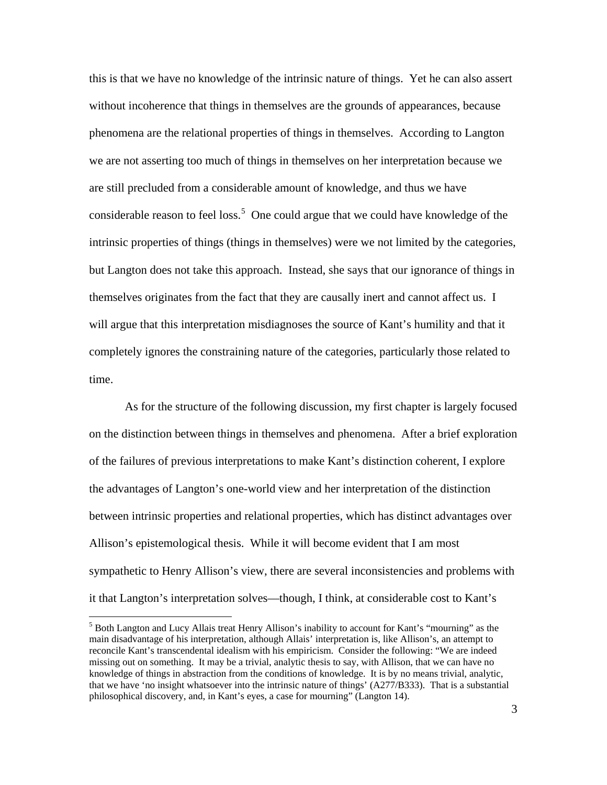this is that we have no knowledge of the intrinsic nature of things. Yet he can also assert without incoherence that things in themselves are the grounds of appearances, because phenomena are the relational properties of things in themselves. According to Langton we are not asserting too much of things in themselves on her interpretation because we are still precluded from a considerable amount of knowledge, and thus we have considerable reason to feel loss.<sup>[5](#page-5-0)</sup> One could argue that we could have knowledge of the intrinsic properties of things (things in themselves) were we not limited by the categories, but Langton does not take this approach. Instead, she says that our ignorance of things in themselves originates from the fact that they are causally inert and cannot affect us. I will argue that this interpretation misdiagnoses the source of Kant's humility and that it completely ignores the constraining nature of the categories, particularly those related to time.

As for the structure of the following discussion, my first chapter is largely focused on the distinction between things in themselves and phenomena. After a brief exploration of the failures of previous interpretations to make Kant's distinction coherent, I explore the advantages of Langton's one-world view and her interpretation of the distinction between intrinsic properties and relational properties, which has distinct advantages over Allison's epistemological thesis. While it will become evident that I am most sympathetic to Henry Allison's view, there are several inconsistencies and problems with it that Langton's interpretation solves—though, I think, at considerable cost to Kant's

<span id="page-5-0"></span> $<sup>5</sup>$  Both Langton and Lucy Allais treat Henry Allison's inability to account for Kant's "mourning" as the</sup> main disadvantage of his interpretation, although Allais' interpretation is, like Allison's, an attempt to reconcile Kant's transcendental idealism with his empiricism. Consider the following: "We are indeed missing out on something. It may be a trivial, analytic thesis to say, with Allison, that we can have no knowledge of things in abstraction from the conditions of knowledge. It is by no means trivial, analytic, that we have 'no insight whatsoever into the intrinsic nature of things' (A277/B333). That is a substantial philosophical discovery, and, in Kant's eyes, a case for mourning" (Langton 14).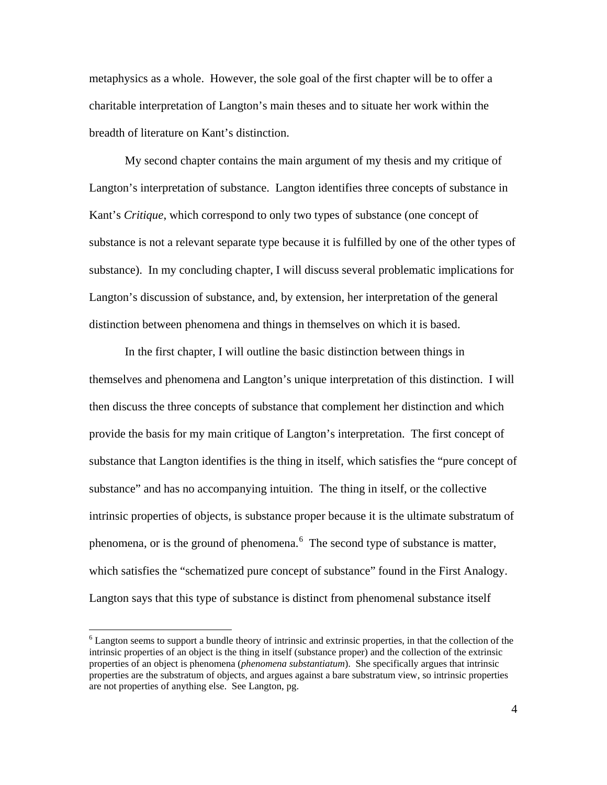metaphysics as a whole. However, the sole goal of the first chapter will be to offer a charitable interpretation of Langton's main theses and to situate her work within the breadth of literature on Kant's distinction.

My second chapter contains the main argument of my thesis and my critique of Langton's interpretation of substance. Langton identifies three concepts of substance in Kant's *Critique*, which correspond to only two types of substance (one concept of substance is not a relevant separate type because it is fulfilled by one of the other types of substance). In my concluding chapter, I will discuss several problematic implications for Langton's discussion of substance, and, by extension, her interpretation of the general distinction between phenomena and things in themselves on which it is based.

In the first chapter, I will outline the basic distinction between things in themselves and phenomena and Langton's unique interpretation of this distinction. I will then discuss the three concepts of substance that complement her distinction and which provide the basis for my main critique of Langton's interpretation. The first concept of substance that Langton identifies is the thing in itself, which satisfies the "pure concept of substance" and has no accompanying intuition. The thing in itself, or the collective intrinsic properties of objects, is substance proper because it is the ultimate substratum of phenomena, or is the ground of phenomena.<sup>[6](#page-6-0)</sup> The second type of substance is matter, which satisfies the "schematized pure concept of substance" found in the First Analogy. Langton says that this type of substance is distinct from phenomenal substance itself

<span id="page-6-0"></span><sup>&</sup>lt;sup>6</sup> Langton seems to support a bundle theory of intrinsic and extrinsic properties, in that the collection of the intrinsic properties of an object is the thing in itself (substance proper) and the collection of the extrinsic properties of an object is phenomena (*phenomena substantiatum*). She specifically argues that intrinsic properties are the substratum of objects, and argues against a bare substratum view, so intrinsic properties are not properties of anything else. See Langton, pg.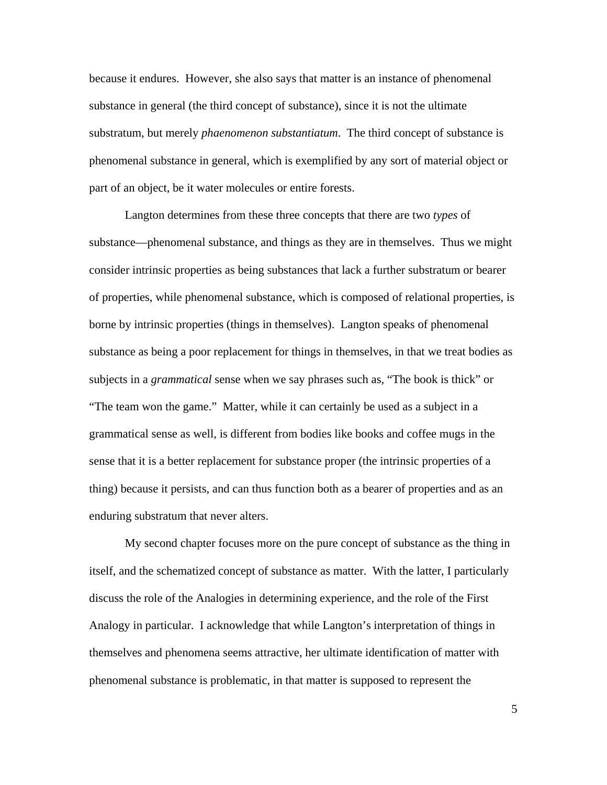because it endures. However, she also says that matter is an instance of phenomenal substance in general (the third concept of substance), since it is not the ultimate substratum, but merely *phaenomenon substantiatum*. The third concept of substance is phenomenal substance in general, which is exemplified by any sort of material object or part of an object, be it water molecules or entire forests.

Langton determines from these three concepts that there are two *types* of substance—phenomenal substance, and things as they are in themselves. Thus we might consider intrinsic properties as being substances that lack a further substratum or bearer of properties, while phenomenal substance, which is composed of relational properties, is borne by intrinsic properties (things in themselves). Langton speaks of phenomenal substance as being a poor replacement for things in themselves, in that we treat bodies as subjects in a *grammatical* sense when we say phrases such as, "The book is thick" or "The team won the game." Matter, while it can certainly be used as a subject in a grammatical sense as well, is different from bodies like books and coffee mugs in the sense that it is a better replacement for substance proper (the intrinsic properties of a thing) because it persists, and can thus function both as a bearer of properties and as an enduring substratum that never alters.

My second chapter focuses more on the pure concept of substance as the thing in itself, and the schematized concept of substance as matter. With the latter, I particularly discuss the role of the Analogies in determining experience, and the role of the First Analogy in particular. I acknowledge that while Langton's interpretation of things in themselves and phenomena seems attractive, her ultimate identification of matter with phenomenal substance is problematic, in that matter is supposed to represent the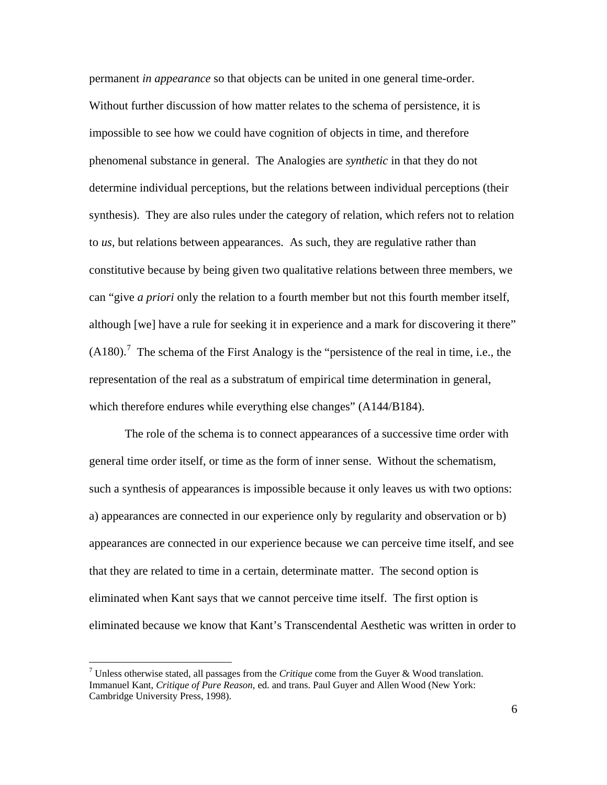permanent *in appearance* so that objects can be united in one general time-order. Without further discussion of how matter relates to the schema of persistence, it is impossible to see how we could have cognition of objects in time, and therefore phenomenal substance in general. The Analogies are *synthetic* in that they do not determine individual perceptions, but the relations between individual perceptions (their synthesis). They are also rules under the category of relation, which refers not to relation to *us*, but relations between appearances. As such, they are regulative rather than constitutive because by being given two qualitative relations between three members, we can "give *a priori* only the relation to a fourth member but not this fourth member itself, although [we] have a rule for seeking it in experience and a mark for discovering it there"  $(A180)$ .<sup>[7](#page-8-0)</sup> The schema of the First Analogy is the "persistence of the real in time, i.e., the representation of the real as a substratum of empirical time determination in general, which therefore endures while everything else changes" (A144/B184).

The role of the schema is to connect appearances of a successive time order with general time order itself, or time as the form of inner sense. Without the schematism, such a synthesis of appearances is impossible because it only leaves us with two options: a) appearances are connected in our experience only by regularity and observation or b) appearances are connected in our experience because we can perceive time itself, and see that they are related to time in a certain, determinate matter. The second option is eliminated when Kant says that we cannot perceive time itself. The first option is eliminated because we know that Kant's Transcendental Aesthetic was written in order to

<span id="page-8-0"></span><sup>7</sup> Unless otherwise stated, all passages from the *Critique* come from the Guyer & Wood translation. Immanuel Kant, *Critique of Pure Reason*, ed. and trans. Paul Guyer and Allen Wood (New York: Cambridge University Press, 1998).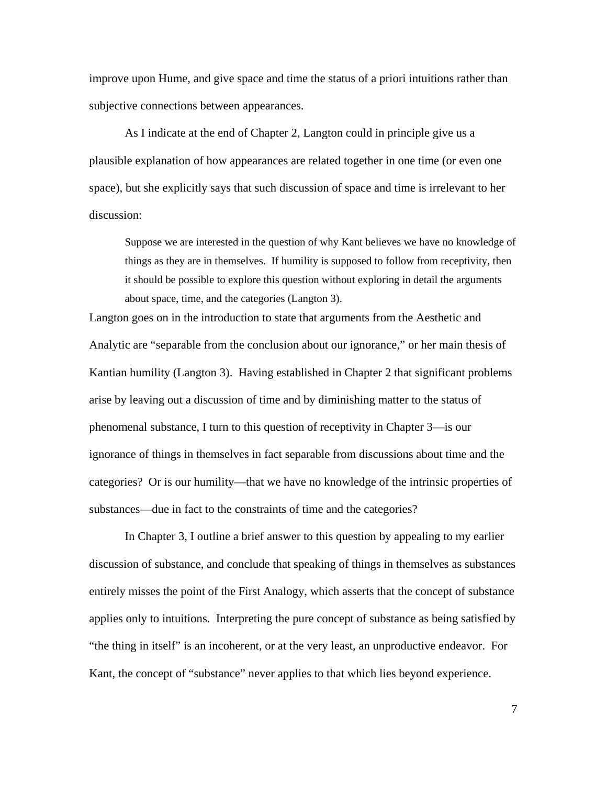improve upon Hume, and give space and time the status of a priori intuitions rather than subjective connections between appearances.

As I indicate at the end of Chapter 2, Langton could in principle give us a plausible explanation of how appearances are related together in one time (or even one space), but she explicitly says that such discussion of space and time is irrelevant to her discussion:

Suppose we are interested in the question of why Kant believes we have no knowledge of things as they are in themselves. If humility is supposed to follow from receptivity, then it should be possible to explore this question without exploring in detail the arguments about space, time, and the categories (Langton 3).

Langton goes on in the introduction to state that arguments from the Aesthetic and Analytic are "separable from the conclusion about our ignorance," or her main thesis of Kantian humility (Langton 3). Having established in Chapter 2 that significant problems arise by leaving out a discussion of time and by diminishing matter to the status of phenomenal substance, I turn to this question of receptivity in Chapter 3—is our ignorance of things in themselves in fact separable from discussions about time and the categories? Or is our humility—that we have no knowledge of the intrinsic properties of substances—due in fact to the constraints of time and the categories?

In Chapter 3, I outline a brief answer to this question by appealing to my earlier discussion of substance, and conclude that speaking of things in themselves as substances entirely misses the point of the First Analogy, which asserts that the concept of substance applies only to intuitions. Interpreting the pure concept of substance as being satisfied by "the thing in itself" is an incoherent, or at the very least, an unproductive endeavor. For Kant, the concept of "substance" never applies to that which lies beyond experience.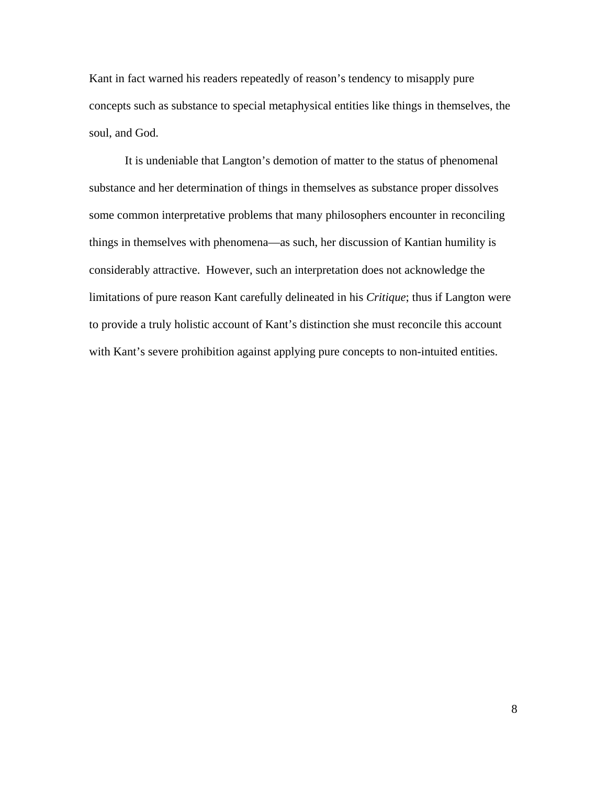Kant in fact warned his readers repeatedly of reason's tendency to misapply pure concepts such as substance to special metaphysical entities like things in themselves, the soul, and God.

It is undeniable that Langton's demotion of matter to the status of phenomenal substance and her determination of things in themselves as substance proper dissolves some common interpretative problems that many philosophers encounter in reconciling things in themselves with phenomena—as such, her discussion of Kantian humility is considerably attractive. However, such an interpretation does not acknowledge the limitations of pure reason Kant carefully delineated in his *Critique*; thus if Langton were to provide a truly holistic account of Kant's distinction she must reconcile this account with Kant's severe prohibition against applying pure concepts to non-intuited entities.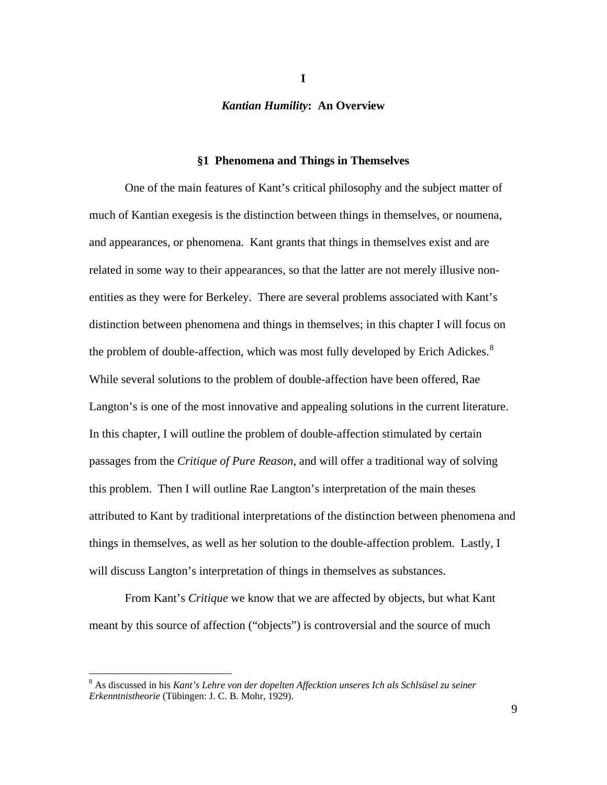#### *Kantian Humility***: An Overview**

#### **§1 Phenomena and Things in Themselves**

One of the main features of Kant's critical philosophy and the subject matter of much of Kantian exegesis is the distinction between things in themselves, or noumena, and appearances, or phenomena. Kant grants that things in themselves exist and are related in some way to their appearances, so that the latter are not merely illusive nonentities as they were for Berkeley. There are several problems associated with Kant's distinction between phenomena and things in themselves; in this chapter I will focus on the problem of double-affection, which was most fully developed by Erich Adickes. $8$ While several solutions to the problem of double-affection have been offered, Rae Langton's is one of the most innovative and appealing solutions in the current literature. In this chapter, I will outline the problem of double-affection stimulated by certain passages from the *Critique of Pure Reason*, and will offer a traditional way of solving this problem. Then I will outline Rae Langton's interpretation of the main theses attributed to Kant by traditional interpretations of the distinction between phenomena and things in themselves, as well as her solution to the double-affection problem. Lastly, I will discuss Langton's interpretation of things in themselves as substances.

From Kant's *Critique* we know that we are affected by objects, but what Kant meant by this source of affection ("objects") is controversial and the source of much

**I**

<span id="page-11-0"></span><sup>8</sup> As discussed in his *Kant's Lehre von der dopelten Affecktion unseres Ich als Schlsüsel zu seiner Erkenntnistheorie* (Tübingen: J. C. B. Mohr, 1929).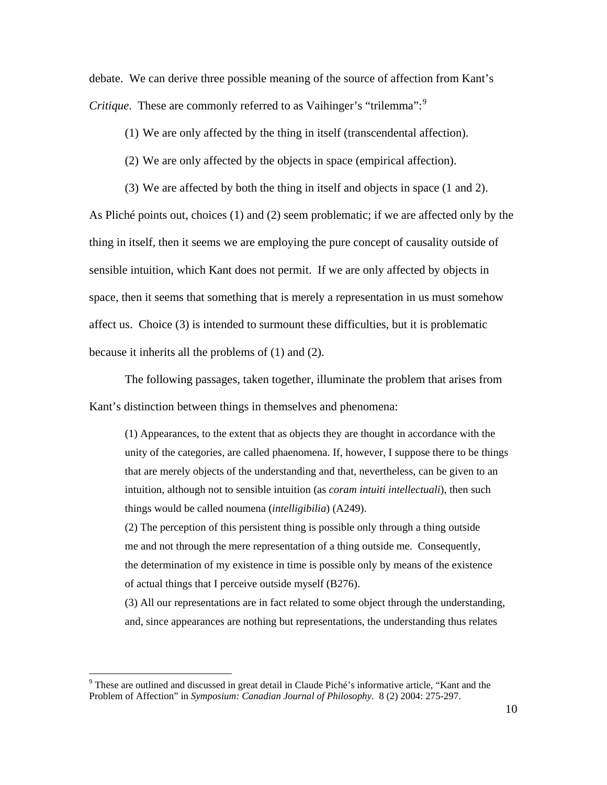debate. We can derive three possible meaning of the source of affection from Kant's *Critique*. These are commonly referred to as Vaihinger's "trilemma":<sup>[9](#page-12-0)</sup>

(1) We are only affected by the thing in itself (transcendental affection).

(2) We are only affected by the objects in space (empirical affection).

(3) We are affected by both the thing in itself and objects in space (1 and 2).

As Pliché points out, choices (1) and (2) seem problematic; if we are affected only by the thing in itself, then it seems we are employing the pure concept of causality outside of sensible intuition, which Kant does not permit. If we are only affected by objects in space, then it seems that something that is merely a representation in us must somehow affect us. Choice (3) is intended to surmount these difficulties, but it is problematic because it inherits all the problems of (1) and (2).

The following passages, taken together, illuminate the problem that arises from Kant's distinction between things in themselves and phenomena:

(1) Appearances, to the extent that as objects they are thought in accordance with the unity of the categories, are called phaenomena. If, however, I suppose there to be things that are merely objects of the understanding and that, nevertheless, can be given to an intuition, although not to sensible intuition (as *coram intuiti intellectuali*), then such things would be called noumena (*intelligibilia*) (A249).

(2) The perception of this persistent thing is possible only through a thing outside me and not through the mere representation of a thing outside me. Consequently, the determination of my existence in time is possible only by means of the existence of actual things that I perceive outside myself (B276).

(3) All our representations are in fact related to some object through the understanding, and, since appearances are nothing but representations, the understanding thus relates

<span id="page-12-0"></span><sup>&</sup>lt;sup>9</sup> These are outlined and discussed in great detail in Claude Piché's informative article, "Kant and the Problem of Affection" in *Symposium: Canadian Journal of Philosophy*. 8 (2) 2004: 275-297.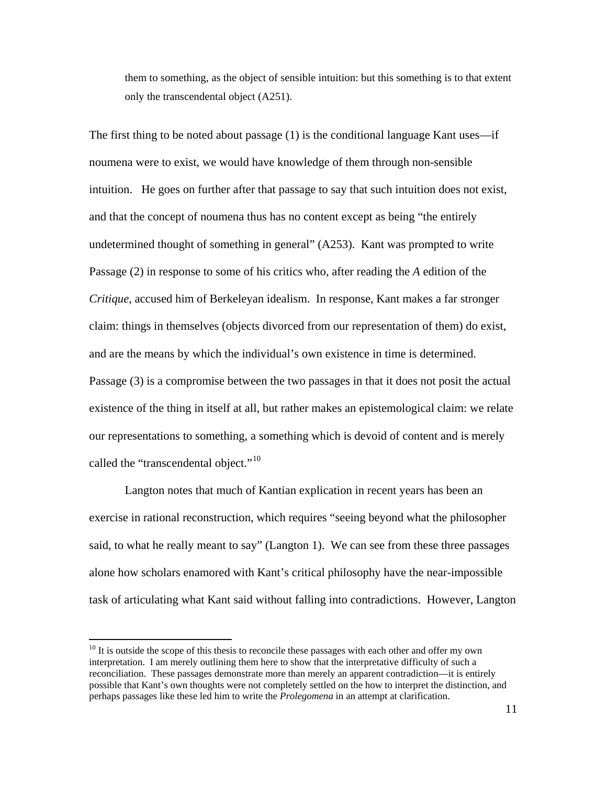them to something, as the object of sensible intuition: but this something is to that extent only the transcendental object (A251).

The first thing to be noted about passage (1) is the conditional language Kant uses—if noumena were to exist, we would have knowledge of them through non-sensible intuition. He goes on further after that passage to say that such intuition does not exist, and that the concept of noumena thus has no content except as being "the entirely undetermined thought of something in general" (A253). Kant was prompted to write Passage (2) in response to some of his critics who, after reading the *A* edition of the *Critique*, accused him of Berkeleyan idealism. In response, Kant makes a far stronger claim: things in themselves (objects divorced from our representation of them) do exist, and are the means by which the individual's own existence in time is determined. Passage (3) is a compromise between the two passages in that it does not posit the actual existence of the thing in itself at all, but rather makes an epistemological claim: we relate our representations to something, a something which is devoid of content and is merely called the "transcendental object."<sup>[10](#page-13-0)</sup>

Langton notes that much of Kantian explication in recent years has been an exercise in rational reconstruction, which requires "seeing beyond what the philosopher said, to what he really meant to say" (Langton 1). We can see from these three passages alone how scholars enamored with Kant's critical philosophy have the near-impossible task of articulating what Kant said without falling into contradictions. However, Langton

<span id="page-13-0"></span><sup>&</sup>lt;sup>10</sup> It is outside the scope of this thesis to reconcile these passages with each other and offer my own interpretation. I am merely outlining them here to show that the interpretative difficulty of such a reconciliation. These passages demonstrate more than merely an apparent contradiction—it is entirely possible that Kant's own thoughts were not completely settled on the how to interpret the distinction, and perhaps passages like these led him to write the *Prolegomena* in an attempt at clarification.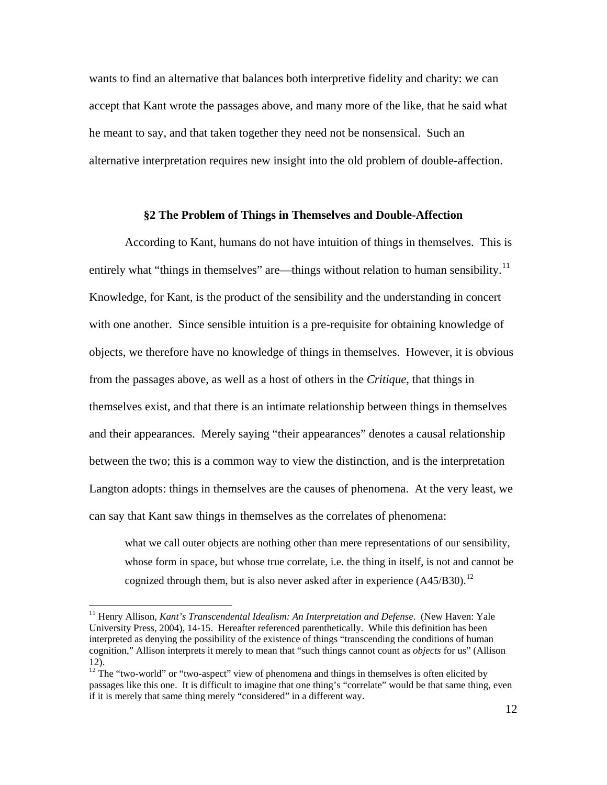wants to find an alternative that balances both interpretive fidelity and charity: we can accept that Kant wrote the passages above, and many more of the like, that he said what he meant to say, and that taken together they need not be nonsensical. Such an alternative interpretation requires new insight into the old problem of double-affection.

#### **§2 The Problem of Things in Themselves and Double-Affection**

According to Kant, humans do not have intuition of things in themselves. This is entirely what "things in themselves" are—things without relation to human sensibility.<sup>[11](#page-14-0)</sup> Knowledge, for Kant, is the product of the sensibility and the understanding in concert with one another. Since sensible intuition is a pre-requisite for obtaining knowledge of objects, we therefore have no knowledge of things in themselves. However, it is obvious from the passages above, as well as a host of others in the *Critique*, that things in themselves exist, and that there is an intimate relationship between things in themselves and their appearances. Merely saying "their appearances" denotes a causal relationship between the two; this is a common way to view the distinction, and is the interpretation Langton adopts: things in themselves are the causes of phenomena. At the very least, we can say that Kant saw things in themselves as the correlates of phenomena:

what we call outer objects are nothing other than mere representations of our sensibility, whose form in space, but whose true correlate, i.e. the thing in itself, is not and cannot be cognized through them, but is also never asked after in experience  $(A45/B30)$ .<sup>[12](#page-14-1)</sup>

<span id="page-14-0"></span><sup>&</sup>lt;sup>11</sup> Henry Allison, *Kant's Transcendental Idealism: An Interpretation and Defense*. (New Haven: Yale University Press, 2004), 14-15. Hereafter referenced parenthetically. While this definition has been interpreted as denying the possibility of the existence of things "transcending the conditions of human cognition," Allison interprets it merely to mean that "such things cannot count as *objects* for us" (Allison 12).

<span id="page-14-1"></span> $12$ <sup>12</sup> The "two-world" or "two-aspect" view of phenomena and things in themselves is often elicited by passages like this one. It is difficult to imagine that one thing's "correlate" would be that same thing, even if it is merely that same thing merely "considered" in a different way.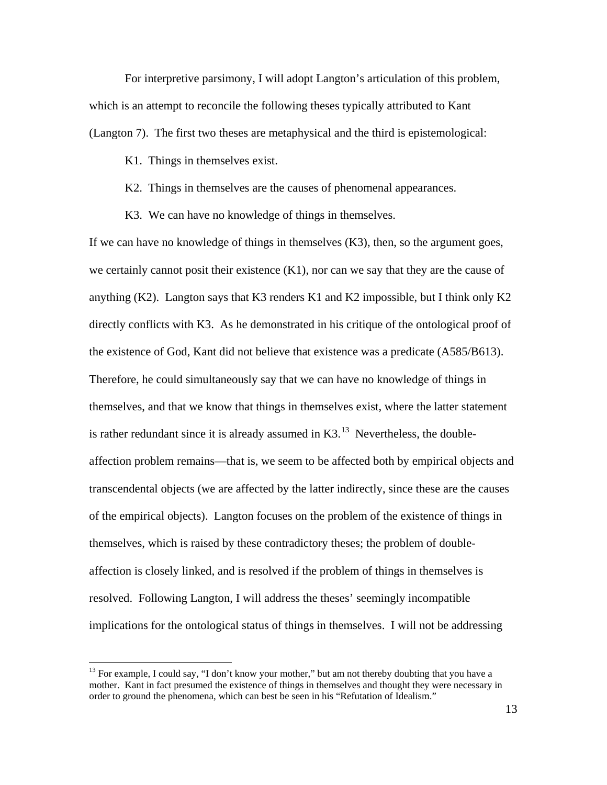For interpretive parsimony, I will adopt Langton's articulation of this problem, which is an attempt to reconcile the following theses typically attributed to Kant (Langton 7). The first two theses are metaphysical and the third is epistemological:

K1. Things in themselves exist.

- K2. Things in themselves are the causes of phenomenal appearances.
- K3. We can have no knowledge of things in themselves.

If we can have no knowledge of things in themselves  $(K3)$ , then, so the argument goes, we certainly cannot posit their existence  $(K1)$ , nor can we say that they are the cause of anything (K2). Langton says that K3 renders K1 and K2 impossible, but I think only K2 directly conflicts with K3. As he demonstrated in his critique of the ontological proof of the existence of God, Kant did not believe that existence was a predicate (A585/B613). Therefore, he could simultaneously say that we can have no knowledge of things in themselves, and that we know that things in themselves exist, where the latter statement is rather redundant since it is already assumed in  $K3$ .<sup>[13](#page-15-0)</sup> Nevertheless, the doubleaffection problem remains—that is, we seem to be affected both by empirical objects and transcendental objects (we are affected by the latter indirectly, since these are the causes of the empirical objects). Langton focuses on the problem of the existence of things in themselves, which is raised by these contradictory theses; the problem of doubleaffection is closely linked, and is resolved if the problem of things in themselves is resolved. Following Langton, I will address the theses' seemingly incompatible implications for the ontological status of things in themselves. I will not be addressing

<span id="page-15-0"></span> $13$  For example, I could say, "I don't know your mother," but am not thereby doubting that you have a mother. Kant in fact presumed the existence of things in themselves and thought they were necessary in order to ground the phenomena, which can best be seen in his "Refutation of Idealism."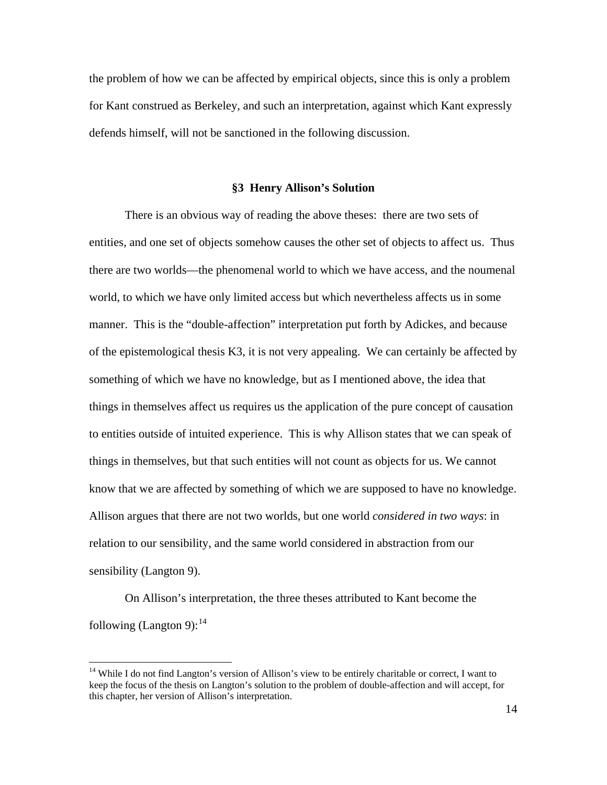the problem of how we can be affected by empirical objects, since this is only a problem for Kant construed as Berkeley, and such an interpretation, against which Kant expressly defends himself, will not be sanctioned in the following discussion.

#### **§3 Henry Allison's Solution**

There is an obvious way of reading the above theses: there are two sets of entities, and one set of objects somehow causes the other set of objects to affect us. Thus there are two worlds—the phenomenal world to which we have access, and the noumenal world, to which we have only limited access but which nevertheless affects us in some manner. This is the "double-affection" interpretation put forth by Adickes, and because of the epistemological thesis K3, it is not very appealing. We can certainly be affected by something of which we have no knowledge, but as I mentioned above, the idea that things in themselves affect us requires us the application of the pure concept of causation to entities outside of intuited experience. This is why Allison states that we can speak of things in themselves, but that such entities will not count as objects for us. We cannot know that we are affected by something of which we are supposed to have no knowledge. Allison argues that there are not two worlds, but one world *considered in two ways*: in relation to our sensibility, and the same world considered in abstraction from our sensibility (Langton 9).

On Allison's interpretation, the three theses attributed to Kant become the following (Langton 9):  $14$ 

<span id="page-16-0"></span><sup>&</sup>lt;sup>14</sup> While I do not find Langton's version of Allison's view to be entirely charitable or correct, I want to keep the focus of the thesis on Langton's solution to the problem of double-affection and will accept, for this chapter, her version of Allison's interpretation.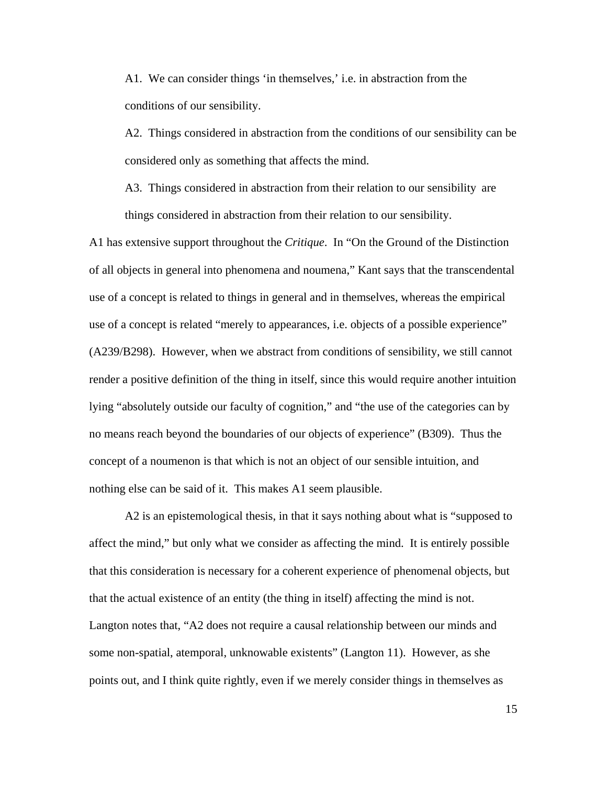A1. We can consider things 'in themselves,' i.e. in abstraction from the conditions of our sensibility.

A2. Things considered in abstraction from the conditions of our sensibility can be considered only as something that affects the mind.

A3. Things considered in abstraction from their relation to our sensibility are things considered in abstraction from their relation to our sensibility.

A1 has extensive support throughout the *Critique*. In "On the Ground of the Distinction of all objects in general into phenomena and noumena," Kant says that the transcendental use of a concept is related to things in general and in themselves, whereas the empirical use of a concept is related "merely to appearances, i.e. objects of a possible experience" (A239/B298). However, when we abstract from conditions of sensibility, we still cannot render a positive definition of the thing in itself, since this would require another intuition lying "absolutely outside our faculty of cognition," and "the use of the categories can by no means reach beyond the boundaries of our objects of experience" (B309). Thus the concept of a noumenon is that which is not an object of our sensible intuition, and nothing else can be said of it. This makes A1 seem plausible.

A2 is an epistemological thesis, in that it says nothing about what is "supposed to affect the mind," but only what we consider as affecting the mind. It is entirely possible that this consideration is necessary for a coherent experience of phenomenal objects, but that the actual existence of an entity (the thing in itself) affecting the mind is not. Langton notes that, "A2 does not require a causal relationship between our minds and some non-spatial, atemporal, unknowable existents" (Langton 11). However, as she points out, and I think quite rightly, even if we merely consider things in themselves as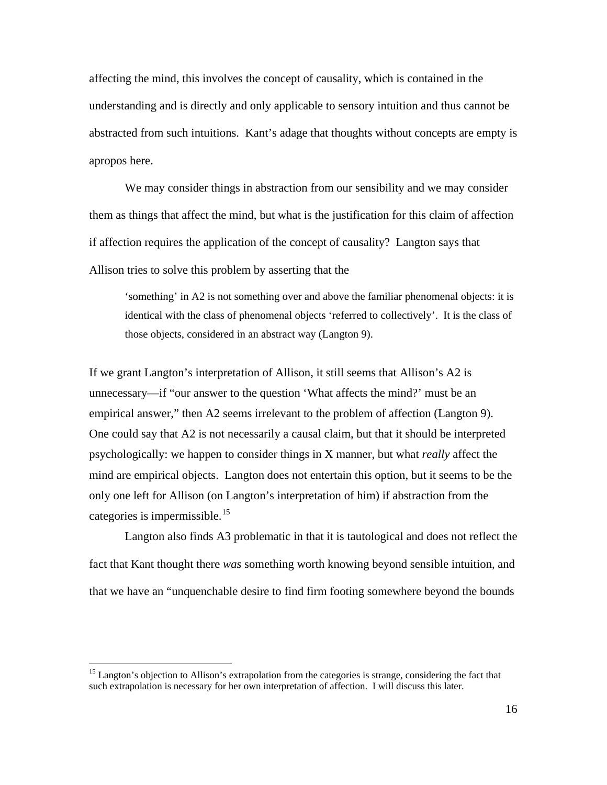affecting the mind, this involves the concept of causality, which is contained in the understanding and is directly and only applicable to sensory intuition and thus cannot be abstracted from such intuitions. Kant's adage that thoughts without concepts are empty is apropos here.

We may consider things in abstraction from our sensibility and we may consider them as things that affect the mind, but what is the justification for this claim of affection if affection requires the application of the concept of causality? Langton says that Allison tries to solve this problem by asserting that the

'something' in A2 is not something over and above the familiar phenomenal objects: it is identical with the class of phenomenal objects 'referred to collectively'. It is the class of those objects, considered in an abstract way (Langton 9).

If we grant Langton's interpretation of Allison, it still seems that Allison's A2 is unnecessary—if "our answer to the question 'What affects the mind?' must be an empirical answer," then A2 seems irrelevant to the problem of affection (Langton 9). One could say that A2 is not necessarily a causal claim, but that it should be interpreted psychologically: we happen to consider things in X manner, but what *really* affect the mind are empirical objects. Langton does not entertain this option, but it seems to be the only one left for Allison (on Langton's interpretation of him) if abstraction from the categories is impermissible.<sup>[15](#page-18-0)</sup>

Langton also finds A3 problematic in that it is tautological and does not reflect the fact that Kant thought there *was* something worth knowing beyond sensible intuition, and that we have an "unquenchable desire to find firm footing somewhere beyond the bounds

<span id="page-18-0"></span><sup>&</sup>lt;sup>15</sup> Langton's objection to Allison's extrapolation from the categories is strange, considering the fact that such extrapolation is necessary for her own interpretation of affection. I will discuss this later.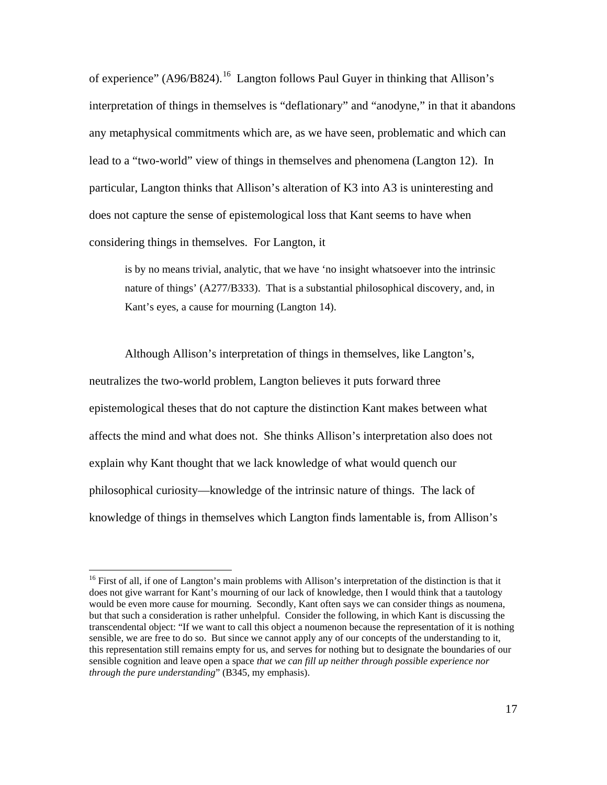of experience" (A96/B824).<sup>[16](#page-19-0)</sup> Langton follows Paul Guyer in thinking that Allison's interpretation of things in themselves is "deflationary" and "anodyne," in that it abandons any metaphysical commitments which are, as we have seen, problematic and which can lead to a "two-world" view of things in themselves and phenomena (Langton 12). In particular, Langton thinks that Allison's alteration of K3 into A3 is uninteresting and does not capture the sense of epistemological loss that Kant seems to have when considering things in themselves. For Langton, it

is by no means trivial, analytic, that we have 'no insight whatsoever into the intrinsic nature of things' (A277/B333). That is a substantial philosophical discovery, and, in Kant's eyes, a cause for mourning (Langton 14).

Although Allison's interpretation of things in themselves, like Langton's, neutralizes the two-world problem, Langton believes it puts forward three epistemological theses that do not capture the distinction Kant makes between what affects the mind and what does not. She thinks Allison's interpretation also does not explain why Kant thought that we lack knowledge of what would quench our philosophical curiosity—knowledge of the intrinsic nature of things. The lack of knowledge of things in themselves which Langton finds lamentable is, from Allison's

<span id="page-19-0"></span><sup>&</sup>lt;sup>16</sup> First of all, if one of Langton's main problems with Allison's interpretation of the distinction is that it does not give warrant for Kant's mourning of our lack of knowledge, then I would think that a tautology would be even more cause for mourning. Secondly, Kant often says we can consider things as noumena, but that such a consideration is rather unhelpful. Consider the following, in which Kant is discussing the transcendental object: "If we want to call this object a noumenon because the representation of it is nothing sensible, we are free to do so. But since we cannot apply any of our concepts of the understanding to it, this representation still remains empty for us, and serves for nothing but to designate the boundaries of our sensible cognition and leave open a space *that we can fill up neither through possible experience nor through the pure understanding*" (B345, my emphasis).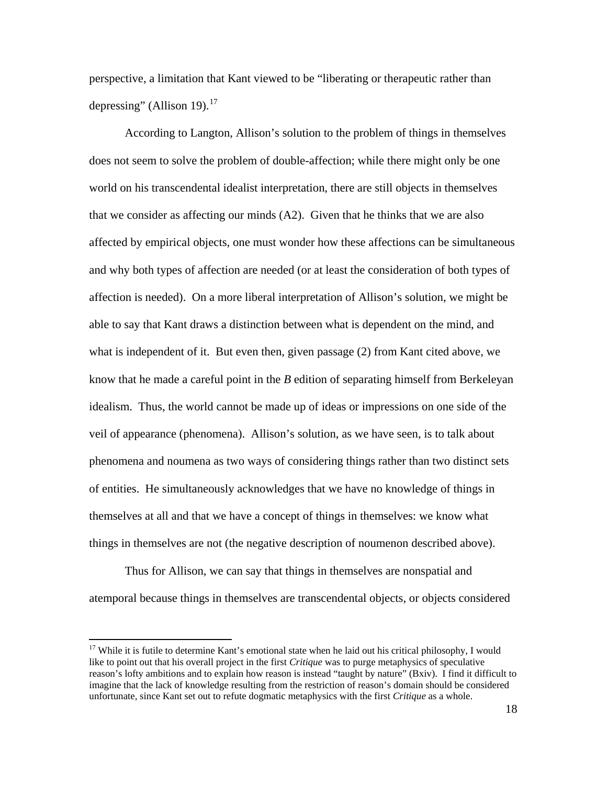perspective, a limitation that Kant viewed to be "liberating or therapeutic rather than depressing" (Allison 19). $^{17}$  $^{17}$  $^{17}$ 

According to Langton, Allison's solution to the problem of things in themselves does not seem to solve the problem of double-affection; while there might only be one world on his transcendental idealist interpretation, there are still objects in themselves that we consider as affecting our minds (A2). Given that he thinks that we are also affected by empirical objects, one must wonder how these affections can be simultaneous and why both types of affection are needed (or at least the consideration of both types of affection is needed). On a more liberal interpretation of Allison's solution, we might be able to say that Kant draws a distinction between what is dependent on the mind, and what is independent of it. But even then, given passage (2) from Kant cited above, we know that he made a careful point in the *B* edition of separating himself from Berkeleyan idealism. Thus, the world cannot be made up of ideas or impressions on one side of the veil of appearance (phenomena).Allison's solution, as we have seen, is to talk about phenomena and noumena as two ways of considering things rather than two distinct sets of entities. He simultaneously acknowledges that we have no knowledge of things in themselves at all and that we have a concept of things in themselves: we know what things in themselves are not (the negative description of noumenon described above).

Thus for Allison, we can say that things in themselves are nonspatial and atemporal because things in themselves are transcendental objects, or objects considered

<span id="page-20-0"></span><sup>&</sup>lt;sup>17</sup> While it is futile to determine Kant's emotional state when he laid out his critical philosophy, I would like to point out that his overall project in the first *Critique* was to purge metaphysics of speculative reason's lofty ambitions and to explain how reason is instead "taught by nature" (Bxiv). I find it difficult to imagine that the lack of knowledge resulting from the restriction of reason's domain should be considered unfortunate, since Kant set out to refute dogmatic metaphysics with the first *Critique* as a whole.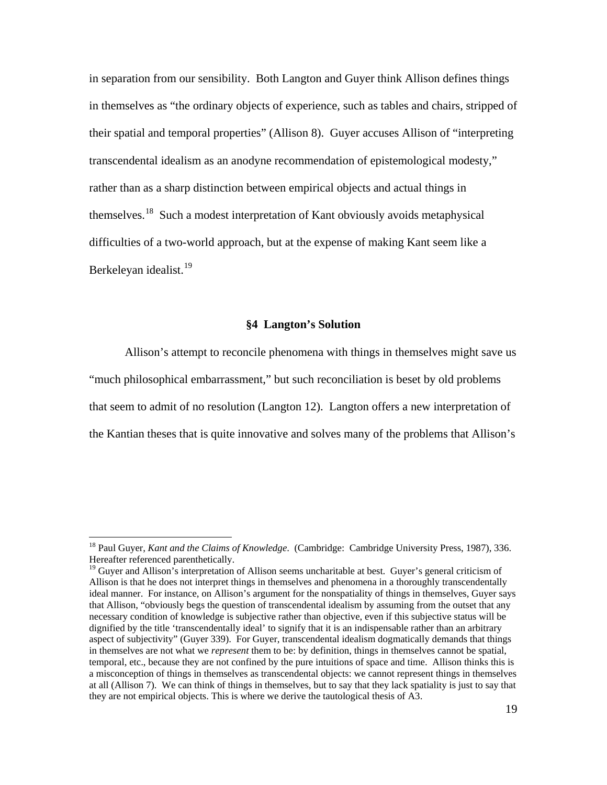in separation from our sensibility. Both Langton and Guyer think Allison defines things in themselves as "the ordinary objects of experience, such as tables and chairs, stripped of their spatial and temporal properties" (Allison 8). Guyer accuses Allison of "interpreting transcendental idealism as an anodyne recommendation of epistemological modesty," rather than as a sharp distinction between empirical objects and actual things in themselves.[18](#page-21-0) Such a modest interpretation of Kant obviously avoids metaphysical difficulties of a two-world approach, but at the expense of making Kant seem like a Berkeleyan idealist.<sup>[19](#page-21-1)</sup>

#### **§4 Langton's Solution**

Allison's attempt to reconcile phenomena with things in themselves might save us "much philosophical embarrassment," but such reconciliation is beset by old problems that seem to admit of no resolution (Langton 12). Langton offers a new interpretation of the Kantian theses that is quite innovative and solves many of the problems that Allison's

<span id="page-21-0"></span><sup>18</sup> Paul Guyer, *Kant and the Claims of Knowledge*. (Cambridge: Cambridge University Press, 1987), 336. Hereafter referenced parenthetically.

<span id="page-21-1"></span><sup>&</sup>lt;sup>19</sup> Guver and Allison's interpretation of Allison seems uncharitable at best. Guyer's general criticism of Allison is that he does not interpret things in themselves and phenomena in a thoroughly transcendentally ideal manner. For instance, on Allison's argument for the nonspatiality of things in themselves, Guyer says that Allison, "obviously begs the question of transcendental idealism by assuming from the outset that any necessary condition of knowledge is subjective rather than objective, even if this subjective status will be dignified by the title 'transcendentally ideal' to signify that it is an indispensable rather than an arbitrary aspect of subjectivity" (Guyer 339). For Guyer, transcendental idealism dogmatically demands that things in themselves are not what we *represent* them to be: by definition, things in themselves cannot be spatial, temporal, etc., because they are not confined by the pure intuitions of space and time. Allison thinks this is a misconception of things in themselves as transcendental objects: we cannot represent things in themselves at all (Allison 7). We can think of things in themselves, but to say that they lack spatiality is just to say that they are not empirical objects. This is where we derive the tautological thesis of A3.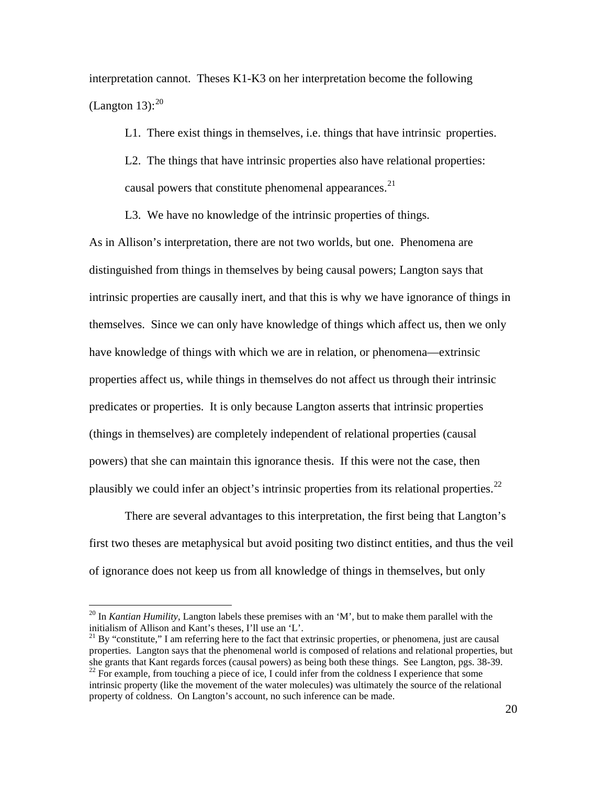interpretation cannot. Theses K1-K3 on her interpretation become the following (Langton 13): $^{20}$  $^{20}$  $^{20}$ 

L1. There exist things in themselves, i.e. things that have intrinsic properties.

L2. The things that have intrinsic properties also have relational properties: causal powers that constitute phenomenal appearances.<sup>[21](#page-22-1)</sup>

L3. We have no knowledge of the intrinsic properties of things.

As in Allison's interpretation, there are not two worlds, but one. Phenomena are distinguished from things in themselves by being causal powers; Langton says that intrinsic properties are causally inert, and that this is why we have ignorance of things in themselves. Since we can only have knowledge of things which affect us, then we only have knowledge of things with which we are in relation, or phenomena—extrinsic properties affect us, while things in themselves do not affect us through their intrinsic predicates or properties. It is only because Langton asserts that intrinsic properties (things in themselves) are completely independent of relational properties (causal powers) that she can maintain this ignorance thesis. If this were not the case, then plausibly we could infer an object's intrinsic properties from its relational properties.<sup>[22](#page-22-2)</sup>

There are several advantages to this interpretation, the first being that Langton's first two theses are metaphysical but avoid positing two distinct entities, and thus the veil of ignorance does not keep us from all knowledge of things in themselves, but only

<span id="page-22-0"></span><sup>&</sup>lt;sup>20</sup> In *Kantian Humility*, Langton labels these premises with an 'M', but to make them parallel with the initialism of Allison and Kant's theses, I'll use an 'L'.

<span id="page-22-1"></span> $121$  By "constitute," I am referring here to the fact that extrinsic properties, or phenomena, just are causal properties. Langton says that the phenomenal world is composed of relations and relational properties, but she grants that Kant regards forces (causal powers) as being both these things. See Langton, pgs. 38-39. <sup>22</sup> For example, from touching a piece of ice, I could infer from the coldness I experience that some

<span id="page-22-2"></span>intrinsic property (like the movement of the water molecules) was ultimately the source of the relational property of coldness. On Langton's account, no such inference can be made.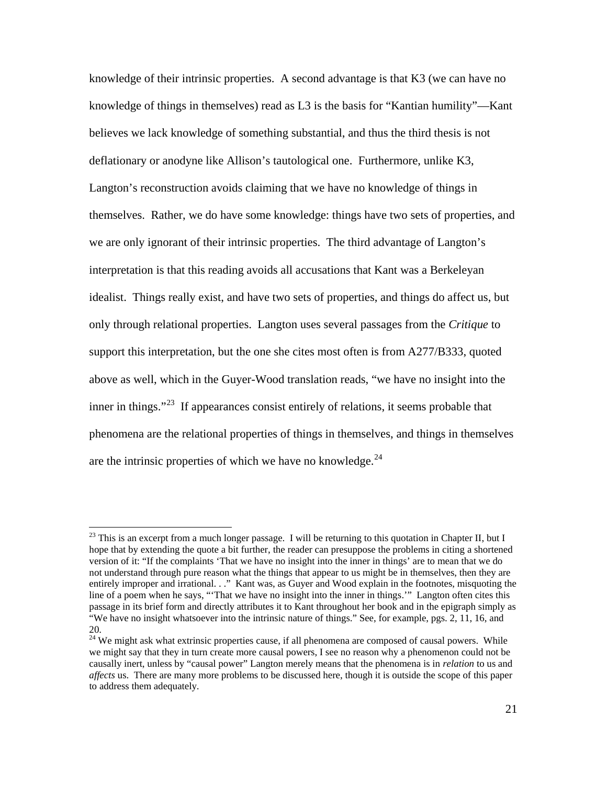knowledge of their intrinsic properties. A second advantage is that K3 (we can have no knowledge of things in themselves) read as L3 is the basis for "Kantian humility"—Kant believes we lack knowledge of something substantial, and thus the third thesis is not deflationary or anodyne like Allison's tautological one. Furthermore, unlike K3, Langton's reconstruction avoids claiming that we have no knowledge of things in themselves. Rather, we do have some knowledge: things have two sets of properties, and we are only ignorant of their intrinsic properties. The third advantage of Langton's interpretation is that this reading avoids all accusations that Kant was a Berkeleyan idealist. Things really exist, and have two sets of properties, and things do affect us, but only through relational properties. Langton uses several passages from the *Critique* to support this interpretation, but the one she cites most often is from A277/B333, quoted above as well, which in the Guyer-Wood translation reads, "we have no insight into the inner in things."<sup>[23](#page-23-0)</sup> If appearances consist entirely of relations, it seems probable that phenomena are the relational properties of things in themselves, and things in themselves are the intrinsic properties of which we have no knowledge. $24$ 

<span id="page-23-0"></span> $^{23}$  This is an excerpt from a much longer passage. I will be returning to this quotation in Chapter II, but I hope that by extending the quote a bit further, the reader can presuppose the problems in citing a shortened version of it: "If the complaints 'That we have no insight into the inner in things' are to mean that we do not understand through pure reason what the things that appear to us might be in themselves, then they are entirely improper and irrational. . ." Kant was, as Guyer and Wood explain in the footnotes, misquoting the line of a poem when he says, "'That we have no insight into the inner in things.'" Langton often cites this passage in its brief form and directly attributes it to Kant throughout her book and in the epigraph simply as "We have no insight whatsoever into the intrinsic nature of things." See, for example, pgs. 2, 11, 16, and 20.

<span id="page-23-1"></span> $24$  We might ask what extrinsic properties cause, if all phenomena are composed of causal powers. While we might say that they in turn create more causal powers, I see no reason why a phenomenon could not be causally inert, unless by "causal power" Langton merely means that the phenomena is in *relation* to us and *affects* us. There are many more problems to be discussed here, though it is outside the scope of this paper to address them adequately.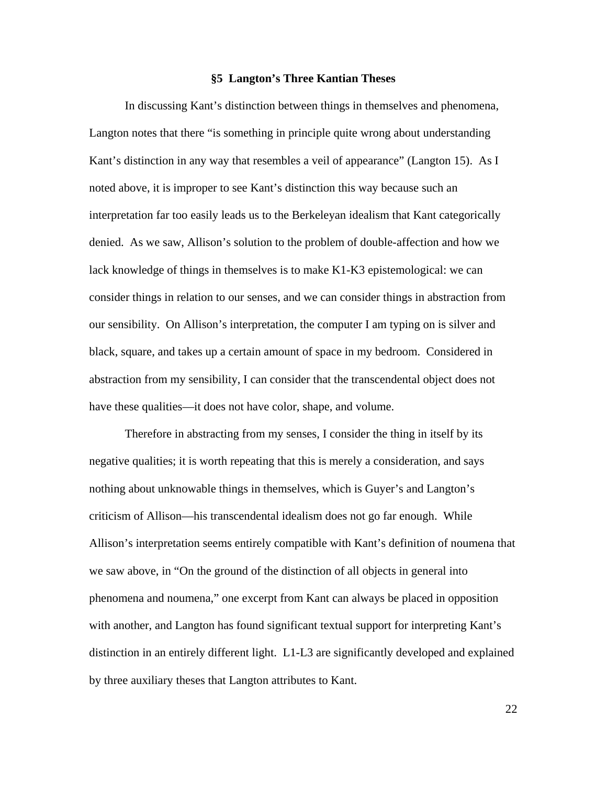#### **§5 Langton's Three Kantian Theses**

In discussing Kant's distinction between things in themselves and phenomena, Langton notes that there "is something in principle quite wrong about understanding Kant's distinction in any way that resembles a veil of appearance" (Langton 15). As I noted above, it is improper to see Kant's distinction this way because such an interpretation far too easily leads us to the Berkeleyan idealism that Kant categorically denied. As we saw, Allison's solution to the problem of double-affection and how we lack knowledge of things in themselves is to make K1-K3 epistemological: we can consider things in relation to our senses, and we can consider things in abstraction from our sensibility. On Allison's interpretation, the computer I am typing on is silver and black, square, and takes up a certain amount of space in my bedroom. Considered in abstraction from my sensibility, I can consider that the transcendental object does not have these qualities—it does not have color, shape, and volume.

Therefore in abstracting from my senses, I consider the thing in itself by its negative qualities; it is worth repeating that this is merely a consideration, and says nothing about unknowable things in themselves, which is Guyer's and Langton's criticism of Allison—his transcendental idealism does not go far enough. While Allison's interpretation seems entirely compatible with Kant's definition of noumena that we saw above, in "On the ground of the distinction of all objects in general into phenomena and noumena," one excerpt from Kant can always be placed in opposition with another, and Langton has found significant textual support for interpreting Kant's distinction in an entirely different light. L1-L3 are significantly developed and explained by three auxiliary theses that Langton attributes to Kant.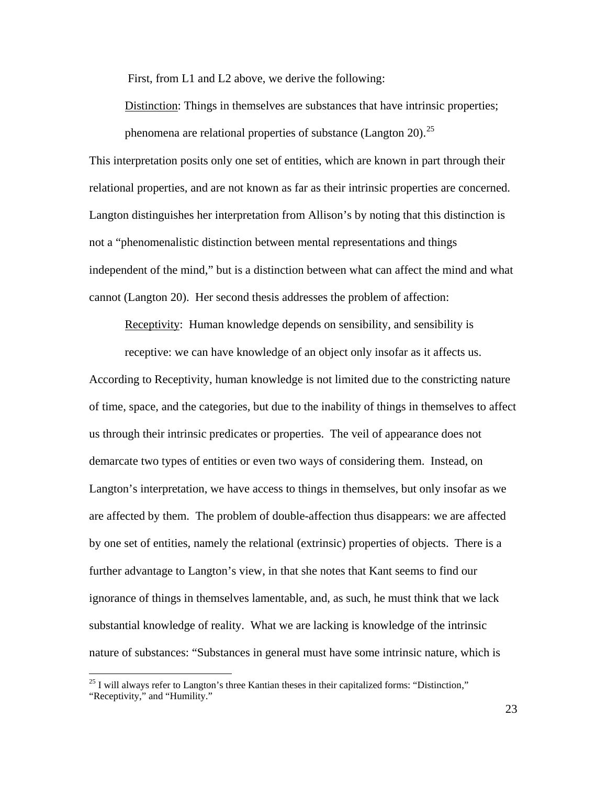First, from L1 and L2 above, we derive the following:

Distinction: Things in themselves are substances that have intrinsic properties; phenomena are relational properties of substance (Langton 20).<sup>[25](#page-25-0)</sup>

This interpretation posits only one set of entities, which are known in part through their relational properties, and are not known as far as their intrinsic properties are concerned. Langton distinguishes her interpretation from Allison's by noting that this distinction is not a "phenomenalistic distinction between mental representations and things independent of the mind," but is a distinction between what can affect the mind and what cannot (Langton 20). Her second thesis addresses the problem of affection:

Receptivity: Human knowledge depends on sensibility, and sensibility is

According to Receptivity, human knowledge is not limited due to the constricting nature of time, space, and the categories, but due to the inability of things in themselves to affect us through their intrinsic predicates or properties. The veil of appearance does not demarcate two types of entities or even two ways of considering them. Instead, on Langton's interpretation, we have access to things in themselves, but only insofar as we are affected by them. The problem of double-affection thus disappears: we are affected by one set of entities, namely the relational (extrinsic) properties of objects. There is a further advantage to Langton's view, in that she notes that Kant seems to find our ignorance of things in themselves lamentable, and, as such, he must think that we lack substantial knowledge of reality. What we are lacking is knowledge of the intrinsic nature of substances: "Substances in general must have some intrinsic nature, which is receptive: we can have knowledge of an object only insofar as it affects us.

<span id="page-25-0"></span><sup>&</sup>lt;sup>25</sup> I will always refer to Langton's three Kantian theses in their capitalized forms: "Distinction," "Receptivity," and "Humility."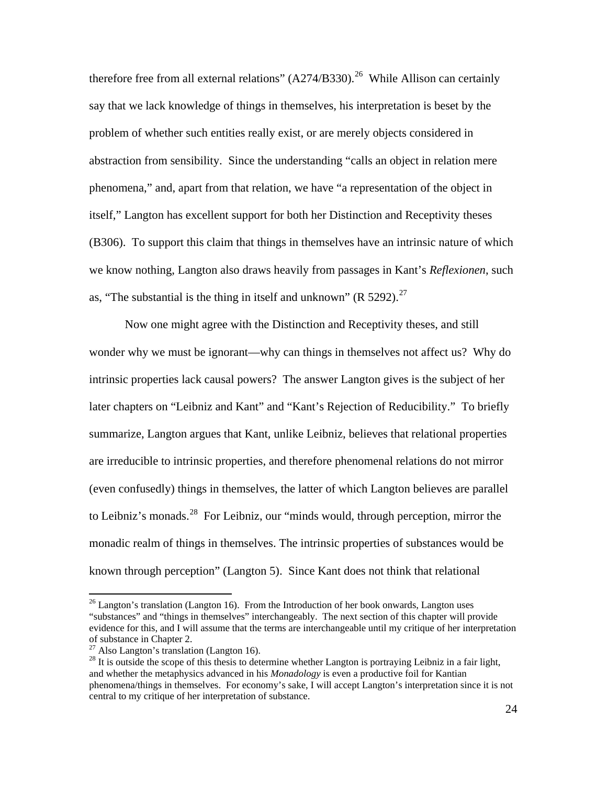therefore free from all external relations"  $(A274/B330)$ .<sup>[26](#page-26-0)</sup> While Allison can certainly say that we lack knowledge of things in themselves, his interpretation is beset by the problem of whether such entities really exist, or are merely objects considered in abstraction from sensibility. Since the understanding "calls an object in relation mere phenomena," and, apart from that relation, we have "a representation of the object in itself," Langton has excellent support for both her Distinction and Receptivity theses (B306). To support this claim that things in themselves have an intrinsic nature of which we know nothing, Langton also draws heavily from passages in Kant's *Reflexionen*, such as, "The substantial is the thing in itself and unknown" (R  $5292$ ).<sup>[27](#page-26-1)</sup>

Now one might agree with the Distinction and Receptivity theses, and still wonder why we must be ignorant—why can things in themselves not affect us? Why do intrinsic properties lack causal powers? The answer Langton gives is the subject of her later chapters on "Leibniz and Kant" and "Kant's Rejection of Reducibility." To briefly summarize, Langton argues that Kant, unlike Leibniz, believes that relational properties are irreducible to intrinsic properties, and therefore phenomenal relations do not mirror (even confusedly) things in themselves, the latter of which Langton believes are parallel to Leibniz's monads.<sup>[28](#page-26-2)</sup> For Leibniz, our "minds would, through perception, mirror the monadic realm of things in themselves. The intrinsic properties of substances would be known through perception" (Langton 5). Since Kant does not think that relational

<span id="page-26-0"></span> $26$  Langton's translation (Langton 16). From the Introduction of her book onwards, Langton uses "substances" and "things in themselves" interchangeably. The next section of this chapter will provide evidence for this, and I will assume that the terms are interchangeable until my critique of her interpretation of substance in Chapter 2.<br> $^{27}$  Also Langton's translation (Langton 16).

<span id="page-26-2"></span><span id="page-26-1"></span> $^{28}$  It is outside the scope of this thesis to determine whether Langton is portraying Leibniz in a fair light, and whether the metaphysics advanced in his *Monadology* is even a productive foil for Kantian phenomena/things in themselves. For economy's sake, I will accept Langton's interpretation since it is not central to my critique of her interpretation of substance.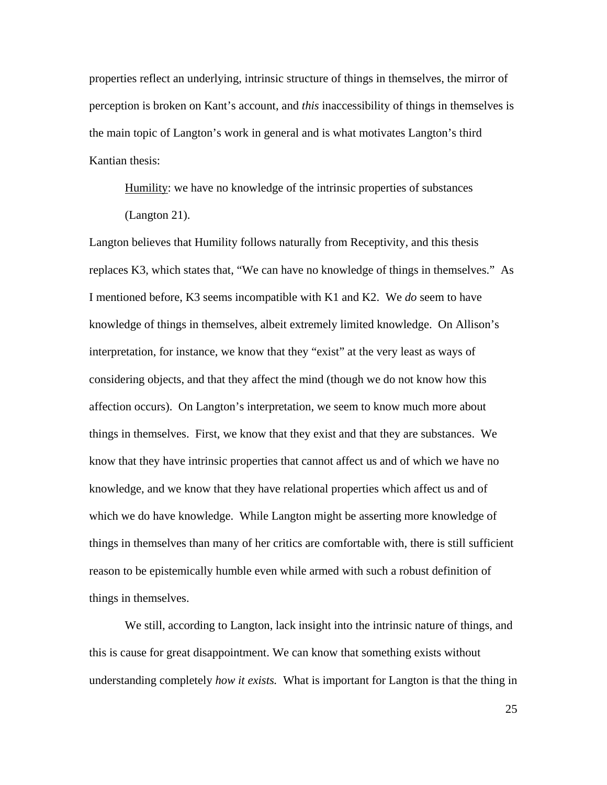properties reflect an underlying, intrinsic structure of things in themselves, the mirror of perception is broken on Kant's account, and *this* inaccessibility of things in themselves is the main topic of Langton's work in general and is what motivates Langton's third Kantian thesis:

Humility: we have no knowledge of the intrinsic properties of substances (Langton 21).

Langton believes that Humility follows naturally from Receptivity, and this thesis replaces K3, which states that, "We can have no knowledge of things in themselves." As I mentioned before, K3 seems incompatible with K1 and K2. We *do* seem to have knowledge of things in themselves, albeit extremely limited knowledge. On Allison's interpretation, for instance, we know that they "exist" at the very least as ways of considering objects, and that they affect the mind (though we do not know how this affection occurs). On Langton's interpretation, we seem to know much more about things in themselves. First, we know that they exist and that they are substances. We know that they have intrinsic properties that cannot affect us and of which we have no knowledge, and we know that they have relational properties which affect us and of which we do have knowledge. While Langton might be asserting more knowledge of things in themselves than many of her critics are comfortable with, there is still sufficient reason to be epistemically humble even while armed with such a robust definition of things in themselves.

We still, according to Langton, lack insight into the intrinsic nature of things, and this is cause for great disappointment. We can know that something exists without understanding completely *how it exists.* What is important for Langton is that the thing in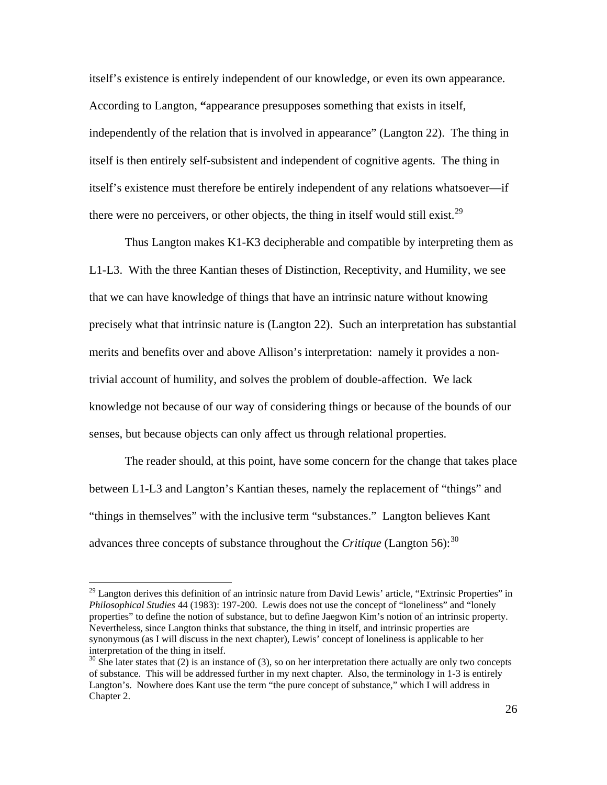itself's existence is entirely independent of our knowledge, or even its own appearance. According to Langton, **"**appearance presupposes something that exists in itself, independently of the relation that is involved in appearance" (Langton 22). The thing in itself is then entirely self-subsistent and independent of cognitive agents. The thing in itself's existence must therefore be entirely independent of any relations whatsoever—if there were no perceivers, or other objects, the thing in itself would still exist.<sup>[29](#page-28-0)</sup>

Thus Langton makes K1-K3 decipherable and compatible by interpreting them as L1-L3. With the three Kantian theses of Distinction, Receptivity, and Humility, we see that we can have knowledge of things that have an intrinsic nature without knowing precisely what that intrinsic nature is (Langton 22). Such an interpretation has substantial merits and benefits over and above Allison's interpretation: namely it provides a nontrivial account of humility, and solves the problem of double-affection. We lack knowledge not because of our way of considering things or because of the bounds of our senses, but because objects can only affect us through relational properties.

The reader should, at this point, have some concern for the change that takes place between L1-L3 and Langton's Kantian theses, namely the replacement of "things" and "things in themselves" with the inclusive term "substances." Langton believes Kant advances three concepts of substance throughout the *Critique* (Langton 56): [30](#page-28-1)

<span id="page-28-0"></span><sup>&</sup>lt;sup>29</sup> Langton derives this definition of an intrinsic nature from David Lewis' article, "Extrinsic Properties" in *Philosophical Studies* 44 (1983): 197-200. Lewis does not use the concept of "loneliness" and "lonely properties" to define the notion of substance, but to define Jaegwon Kim's notion of an intrinsic property. Nevertheless, since Langton thinks that substance, the thing in itself, and intrinsic properties are synonymous (as I will discuss in the next chapter), Lewis' concept of loneliness is applicable to her interpretation of the thing in itself.

<span id="page-28-1"></span> $30$  She later states that (2) is an instance of (3), so on her interpretation there actually are only two concepts of substance. This will be addressed further in my next chapter. Also, the terminology in 1-3 is entirely Langton's. Nowhere does Kant use the term "the pure concept of substance," which I will address in Chapter 2.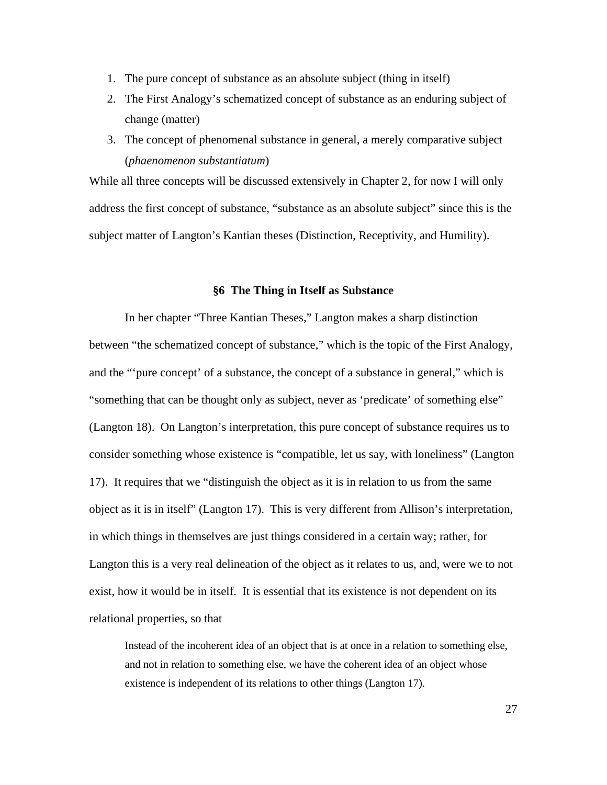- 1. The pure concept of substance as an absolute subject (thing in itself)
- 2. The First Analogy's schematized concept of substance as an enduring subject of change (matter)
- 3. The concept of phenomenal substance in general, a merely comparative subject (*phaenomenon substantiatum*)

While all three concepts will be discussed extensively in Chapter 2, for now I will only address the first concept of substance, "substance as an absolute subject" since this is the subject matter of Langton's Kantian theses (Distinction, Receptivity, and Humility).

#### **§6 The Thing in Itself as Substance**

In her chapter "Three Kantian Theses," Langton makes a sharp distinction between "the schematized concept of substance," which is the topic of the First Analogy, and the "'pure concept' of a substance, the concept of a substance in general," which is "something that can be thought only as subject, never as 'predicate' of something else" (Langton 18). On Langton's interpretation, this pure concept of substance requires us to consider something whose existence is "compatible, let us say, with loneliness" (Langton 17). It requires that we "distinguish the object as it is in relation to us from the same object as it is in itself" (Langton 17). This is very different from Allison's interpretation, in which things in themselves are just things considered in a certain way; rather, for Langton this is a very real delineation of the object as it relates to us, and, were we to not exist, how it would be in itself. It is essential that its existence is not dependent on its relational properties, so that

Instead of the incoherent idea of an object that is at once in a relation to something else, and not in relation to something else, we have the coherent idea of an object whose existence is independent of its relations to other things (Langton 17).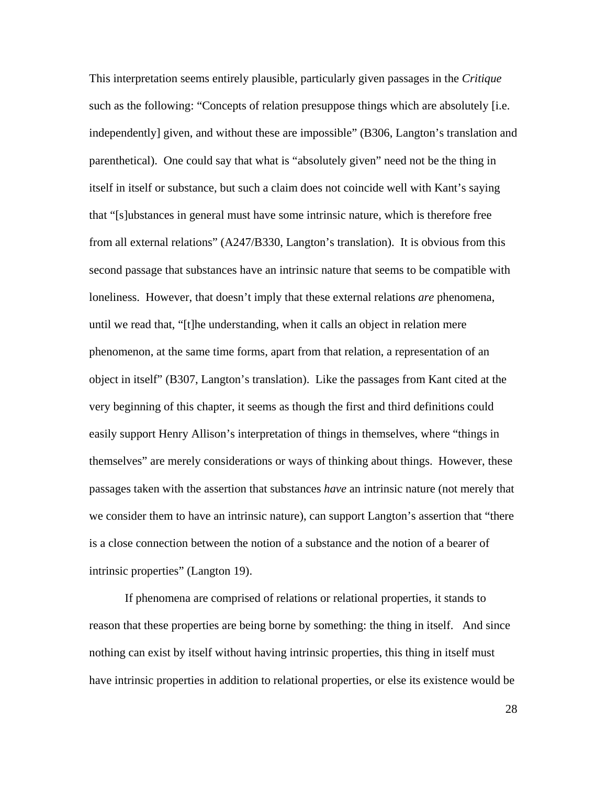This interpretation seems entirely plausible, particularly given passages in the *Critique*  such as the following: "Concepts of relation presuppose things which are absolutely [i.e. independently] given, and without these are impossible" (B306, Langton's translation and parenthetical). One could say that what is "absolutely given" need not be the thing in itself in itself or substance, but such a claim does not coincide well with Kant's saying that "[s]ubstances in general must have some intrinsic nature, which is therefore free from all external relations" (A247/B330, Langton's translation). It is obvious from this second passage that substances have an intrinsic nature that seems to be compatible with loneliness. However, that doesn't imply that these external relations *are* phenomena, until we read that, "[t]he understanding, when it calls an object in relation mere phenomenon, at the same time forms, apart from that relation, a representation of an object in itself" (B307, Langton's translation). Like the passages from Kant cited at the very beginning of this chapter, it seems as though the first and third definitions could easily support Henry Allison's interpretation of things in themselves, where "things in themselves" are merely considerations or ways of thinking about things. However, these passages taken with the assertion that substances *have* an intrinsic nature (not merely that we consider them to have an intrinsic nature), can support Langton's assertion that "there is a close connection between the notion of a substance and the notion of a bearer of intrinsic properties" (Langton 19).

If phenomena are comprised of relations or relational properties, it stands to reason that these properties are being borne by something: the thing in itself. And since nothing can exist by itself without having intrinsic properties, this thing in itself must have intrinsic properties in addition to relational properties, or else its existence would be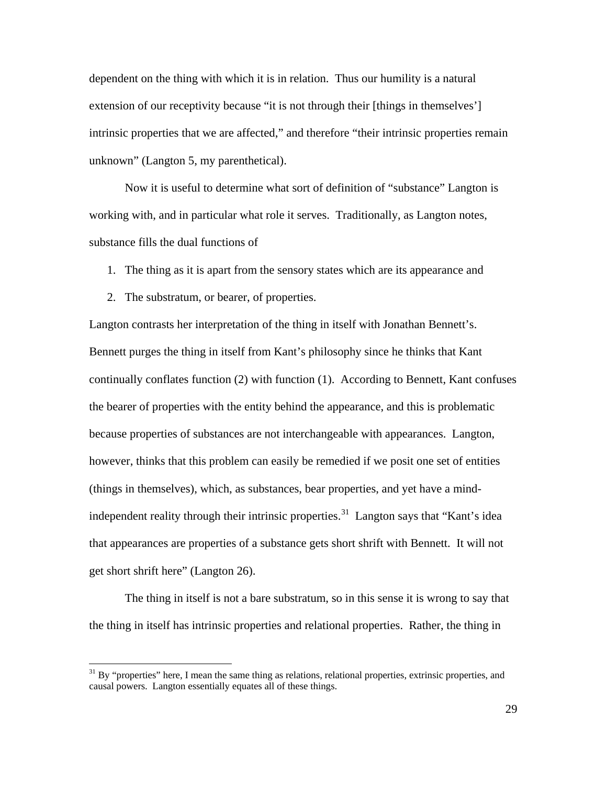dependent on the thing with which it is in relation. Thus our humility is a natural extension of our receptivity because "it is not through their [things in themselves'] intrinsic properties that we are affected," and therefore "their intrinsic properties remain unknown" (Langton 5, my parenthetical).

Now it is useful to determine what sort of definition of "substance" Langton is working with, and in particular what role it serves. Traditionally, as Langton notes, substance fills the dual functions of

- 1. The thing as it is apart from the sensory states which are its appearance and
- 2. The substratum, or bearer, of properties.

Langton contrasts her interpretation of the thing in itself with Jonathan Bennett's. Bennett purges the thing in itself from Kant's philosophy since he thinks that Kant continually conflates function (2) with function (1). According to Bennett, Kant confuses the bearer of properties with the entity behind the appearance, and this is problematic because properties of substances are not interchangeable with appearances. Langton, however, thinks that this problem can easily be remedied if we posit one set of entities (things in themselves), which, as substances, bear properties, and yet have a mind-independent reality through their intrinsic properties.<sup>[31](#page-31-0)</sup> Langton says that "Kant's idea that appearances are properties of a substance gets short shrift with Bennett. It will not get short shrift here" (Langton 26).

The thing in itself is not a bare substratum, so in this sense it is wrong to say that the thing in itself has intrinsic properties and relational properties. Rather, the thing in

<span id="page-31-0"></span><sup>&</sup>lt;sup>31</sup> By "properties" here, I mean the same thing as relations, relational properties, extrinsic properties, and causal powers. Langton essentially equates all of these things.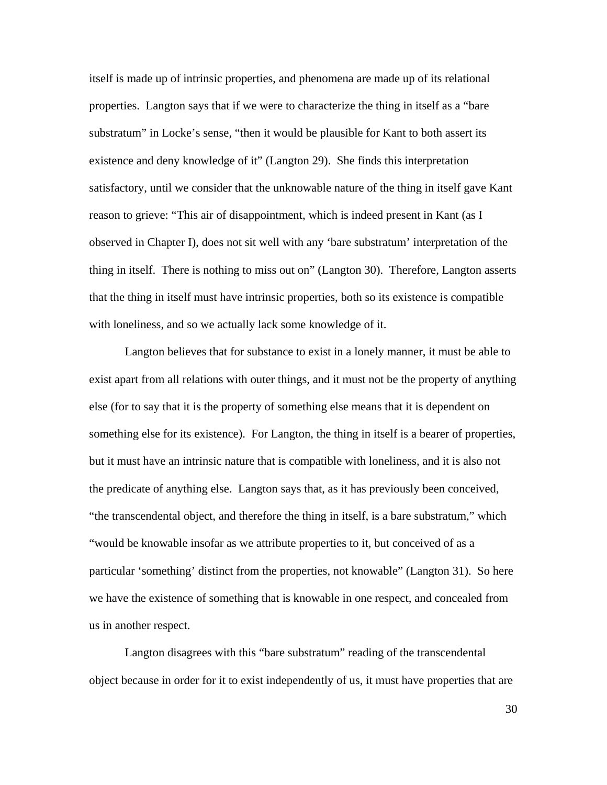itself is made up of intrinsic properties, and phenomena are made up of its relational properties. Langton says that if we were to characterize the thing in itself as a "bare substratum" in Locke's sense, "then it would be plausible for Kant to both assert its existence and deny knowledge of it" (Langton 29). She finds this interpretation satisfactory, until we consider that the unknowable nature of the thing in itself gave Kant reason to grieve: "This air of disappointment, which is indeed present in Kant (as I observed in Chapter I), does not sit well with any 'bare substratum' interpretation of the thing in itself. There is nothing to miss out on" (Langton 30).Therefore, Langton asserts that the thing in itself must have intrinsic properties, both so its existence is compatible with loneliness, and so we actually lack some knowledge of it.

Langton believes that for substance to exist in a lonely manner, it must be able to exist apart from all relations with outer things, and it must not be the property of anything else (for to say that it is the property of something else means that it is dependent on something else for its existence). For Langton, the thing in itself is a bearer of properties, but it must have an intrinsic nature that is compatible with loneliness, and it is also not the predicate of anything else. Langton says that, as it has previously been conceived, "the transcendental object, and therefore the thing in itself, is a bare substratum," which "would be knowable insofar as we attribute properties to it, but conceived of as a particular 'something' distinct from the properties, not knowable" (Langton 31). So here we have the existence of something that is knowable in one respect, and concealed from us in another respect.

Langton disagrees with this "bare substratum" reading of the transcendental object because in order for it to exist independently of us, it must have properties that are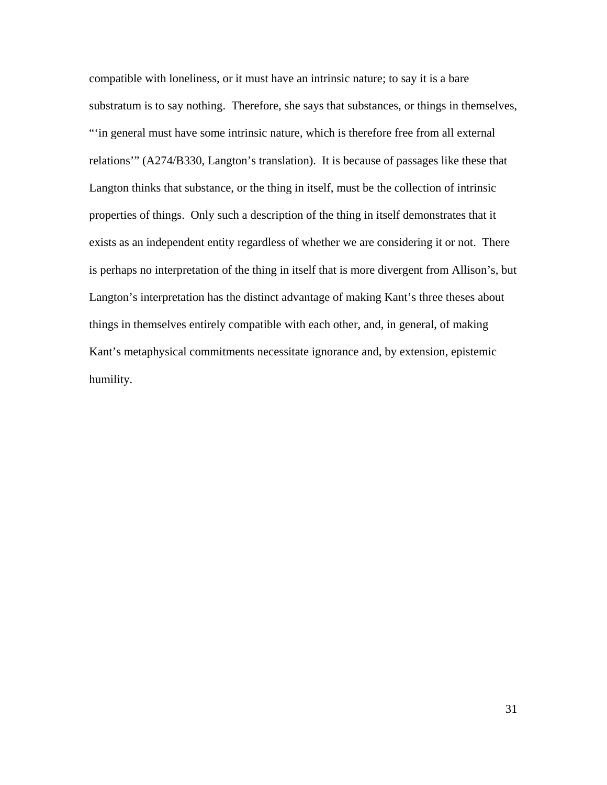compatible with loneliness, or it must have an intrinsic nature; to say it is a bare substratum is to say nothing. Therefore, she says that substances, or things in themselves, "'in general must have some intrinsic nature, which is therefore free from all external relations'" (A274/B330, Langton's translation). It is because of passages like these that Langton thinks that substance, or the thing in itself, must be the collection of intrinsic properties of things. Only such a description of the thing in itself demonstrates that it exists as an independent entity regardless of whether we are considering it or not. There is perhaps no interpretation of the thing in itself that is more divergent from Allison's, but Langton's interpretation has the distinct advantage of making Kant's three theses about things in themselves entirely compatible with each other, and, in general, of making Kant's metaphysical commitments necessitate ignorance and, by extension, epistemic humility.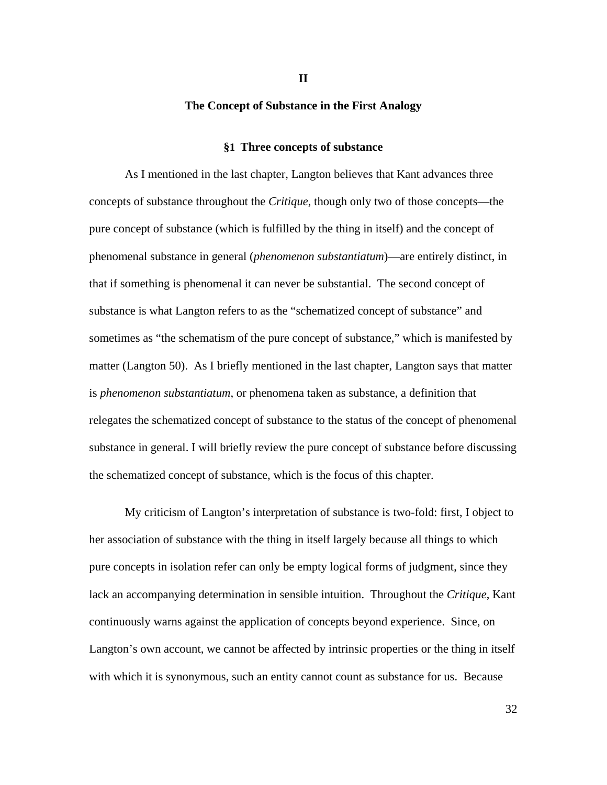#### **The Concept of Substance in the First Analogy**

#### **§1 Three concepts of substance**

As I mentioned in the last chapter, Langton believes that Kant advances three concepts of substance throughout the *Critique*, though only two of those concepts—the pure concept of substance (which is fulfilled by the thing in itself) and the concept of phenomenal substance in general (*phenomenon substantiatum*)—are entirely distinct, in that if something is phenomenal it can never be substantial. The second concept of substance is what Langton refers to as the "schematized concept of substance" and sometimes as "the schematism of the pure concept of substance," which is manifested by matter (Langton 50). As I briefly mentioned in the last chapter, Langton says that matter is *phenomenon substantiatum*, or phenomena taken as substance, a definition that relegates the schematized concept of substance to the status of the concept of phenomenal substance in general. I will briefly review the pure concept of substance before discussing the schematized concept of substance, which is the focus of this chapter.

My criticism of Langton's interpretation of substance is two-fold: first, I object to her association of substance with the thing in itself largely because all things to which pure concepts in isolation refer can only be empty logical forms of judgment, since they lack an accompanying determination in sensible intuition. Throughout the *Critique*, Kant continuously warns against the application of concepts beyond experience. Since, on Langton's own account, we cannot be affected by intrinsic properties or the thing in itself with which it is synonymous, such an entity cannot count as substance for us. Because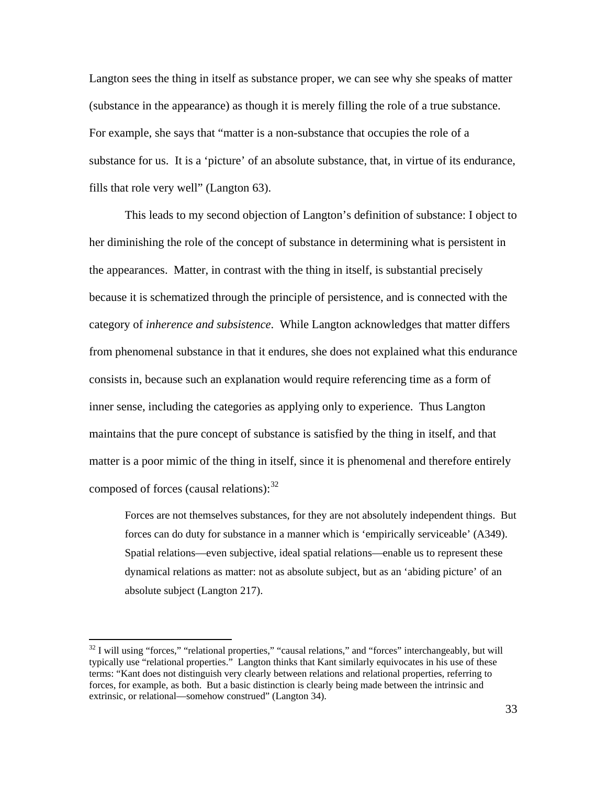Langton sees the thing in itself as substance proper, we can see why she speaks of matter (substance in the appearance) as though it is merely filling the role of a true substance. For example, she says that "matter is a non-substance that occupies the role of a substance for us. It is a 'picture' of an absolute substance, that, in virtue of its endurance, fills that role very well" (Langton 63).

This leads to my second objection of Langton's definition of substance: I object to her diminishing the role of the concept of substance in determining what is persistent in the appearances. Matter, in contrast with the thing in itself, is substantial precisely because it is schematized through the principle of persistence, and is connected with the category of *inherence and subsistence*. While Langton acknowledges that matter differs from phenomenal substance in that it endures, she does not explained what this endurance consists in, because such an explanation would require referencing time as a form of inner sense, including the categories as applying only to experience. Thus Langton maintains that the pure concept of substance is satisfied by the thing in itself, and that matter is a poor mimic of the thing in itself, since it is phenomenal and therefore entirely composed of forces (causal relations): $32$ 

Forces are not themselves substances, for they are not absolutely independent things. But forces can do duty for substance in a manner which is 'empirically serviceable' (A349). Spatial relations—even subjective, ideal spatial relations—enable us to represent these dynamical relations as matter: not as absolute subject, but as an 'abiding picture' of an absolute subject (Langton 217).

<span id="page-35-0"></span><sup>&</sup>lt;sup>32</sup> I will using "forces," "relational properties," "causal relations," and "forces" interchangeably, but will typically use "relational properties." Langton thinks that Kant similarly equivocates in his use of these terms: "Kant does not distinguish very clearly between relations and relational properties, referring to forces, for example, as both. But a basic distinction is clearly being made between the intrinsic and extrinsic, or relational—somehow construed" (Langton 34).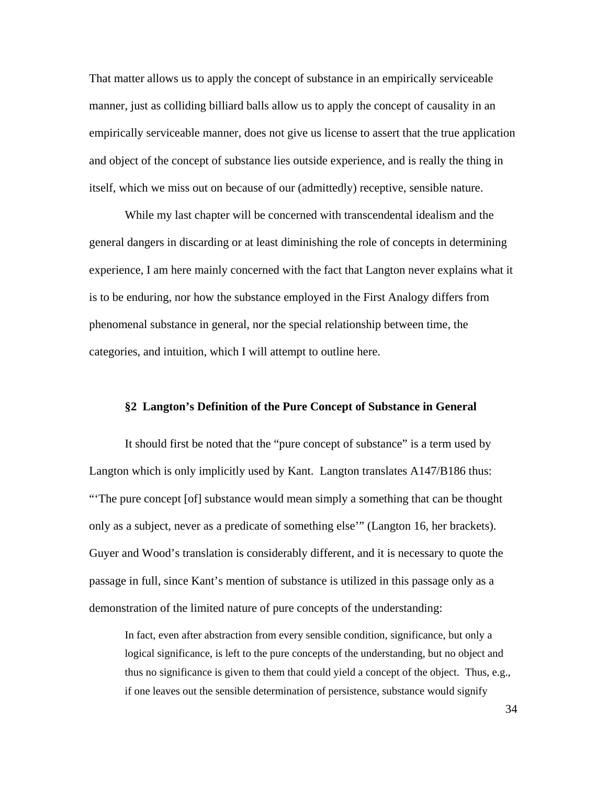That matter allows us to apply the concept of substance in an empirically serviceable manner, just as colliding billiard balls allow us to apply the concept of causality in an empirically serviceable manner, does not give us license to assert that the true application and object of the concept of substance lies outside experience, and is really the thing in itself, which we miss out on because of our (admittedly) receptive, sensible nature.

While my last chapter will be concerned with transcendental idealism and the general dangers in discarding or at least diminishing the role of concepts in determining experience, I am here mainly concerned with the fact that Langton never explains what it is to be enduring, nor how the substance employed in the First Analogy differs from phenomenal substance in general, nor the special relationship between time, the categories, and intuition, which I will attempt to outline here.

#### **§2 Langton's Definition of the Pure Concept of Substance in General**

It should first be noted that the "pure concept of substance" is a term used by Langton which is only implicitly used by Kant. Langton translates A147/B186 thus: "'The pure concept [of] substance would mean simply a something that can be thought only as a subject, never as a predicate of something else'" (Langton 16, her brackets). Guyer and Wood's translation is considerably different, and it is necessary to quote the passage in full, since Kant's mention of substance is utilized in this passage only as a demonstration of the limited nature of pure concepts of the understanding:

In fact, even after abstraction from every sensible condition, significance, but only a logical significance, is left to the pure concepts of the understanding, but no object and thus no significance is given to them that could yield a concept of the object. Thus, e.g., if one leaves out the sensible determination of persistence, substance would signify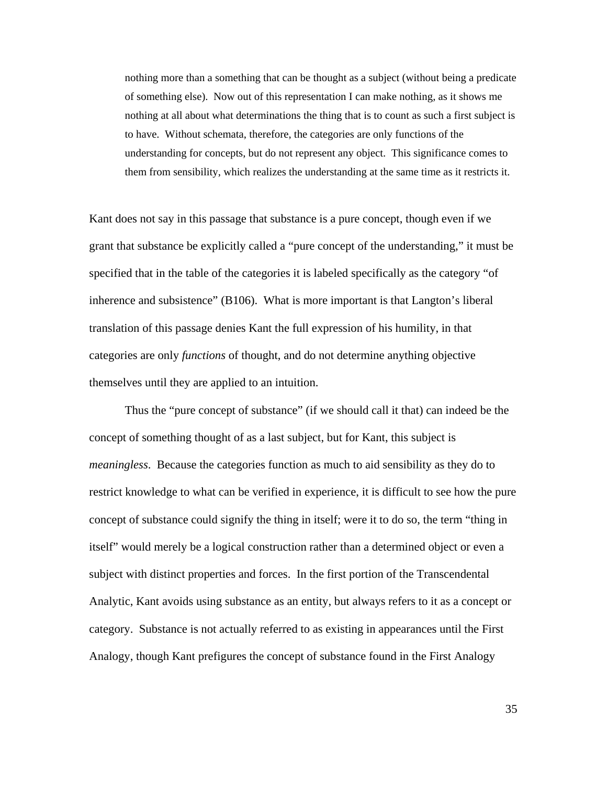nothing more than a something that can be thought as a subject (without being a predicate of something else). Now out of this representation I can make nothing, as it shows me nothing at all about what determinations the thing that is to count as such a first subject is to have. Without schemata, therefore, the categories are only functions of the understanding for concepts, but do not represent any object. This significance comes to them from sensibility, which realizes the understanding at the same time as it restricts it.

Kant does not say in this passage that substance is a pure concept, though even if we grant that substance be explicitly called a "pure concept of the understanding," it must be specified that in the table of the categories it is labeled specifically as the category "of inherence and subsistence" (B106). What is more important is that Langton's liberal translation of this passage denies Kant the full expression of his humility, in that categories are only *functions* of thought, and do not determine anything objective themselves until they are applied to an intuition.

Thus the "pure concept of substance" (if we should call it that) can indeed be the concept of something thought of as a last subject, but for Kant, this subject is *meaningless*. Because the categories function as much to aid sensibility as they do to restrict knowledge to what can be verified in experience, it is difficult to see how the pure concept of substance could signify the thing in itself; were it to do so, the term "thing in itself" would merely be a logical construction rather than a determined object or even a subject with distinct properties and forces. In the first portion of the Transcendental Analytic, Kant avoids using substance as an entity, but always refers to it as a concept or category. Substance is not actually referred to as existing in appearances until the First Analogy, though Kant prefigures the concept of substance found in the First Analogy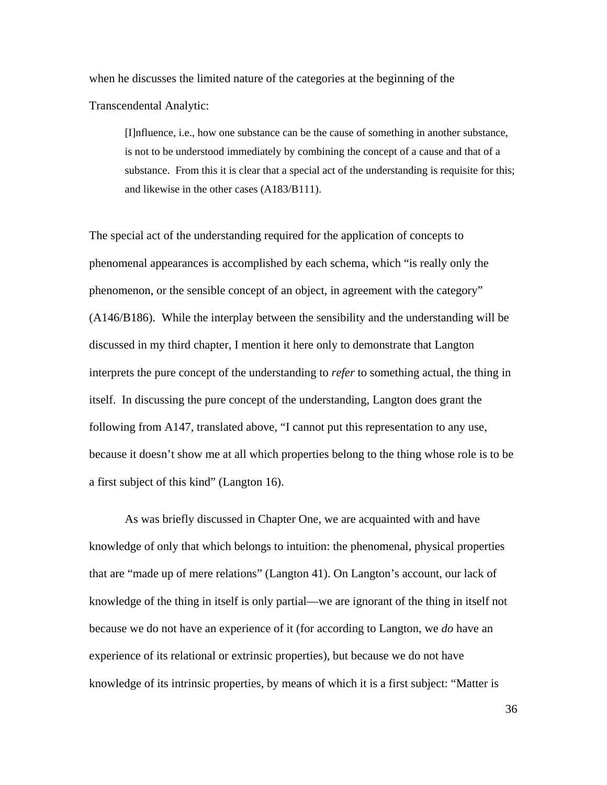when he discusses the limited nature of the categories at the beginning of the

Transcendental Analytic:

[I]nfluence, i.e., how one substance can be the cause of something in another substance, is not to be understood immediately by combining the concept of a cause and that of a substance. From this it is clear that a special act of the understanding is requisite for this; and likewise in the other cases (A183/B111).

The special act of the understanding required for the application of concepts to phenomenal appearances is accomplished by each schema, which "is really only the phenomenon, or the sensible concept of an object, in agreement with the category" (A146/B186). While the interplay between the sensibility and the understanding will be discussed in my third chapter, I mention it here only to demonstrate that Langton interprets the pure concept of the understanding to *refer* to something actual, the thing in itself. In discussing the pure concept of the understanding, Langton does grant the following from A147, translated above, "I cannot put this representation to any use, because it doesn't show me at all which properties belong to the thing whose role is to be a first subject of this kind" (Langton 16).

As was briefly discussed in Chapter One, we are acquainted with and have knowledge of only that which belongs to intuition: the phenomenal, physical properties that are "made up of mere relations" (Langton 41). On Langton's account, our lack of knowledge of the thing in itself is only partial—we are ignorant of the thing in itself not because we do not have an experience of it (for according to Langton, we *do* have an experience of its relational or extrinsic properties), but because we do not have knowledge of its intrinsic properties, by means of which it is a first subject: "Matter is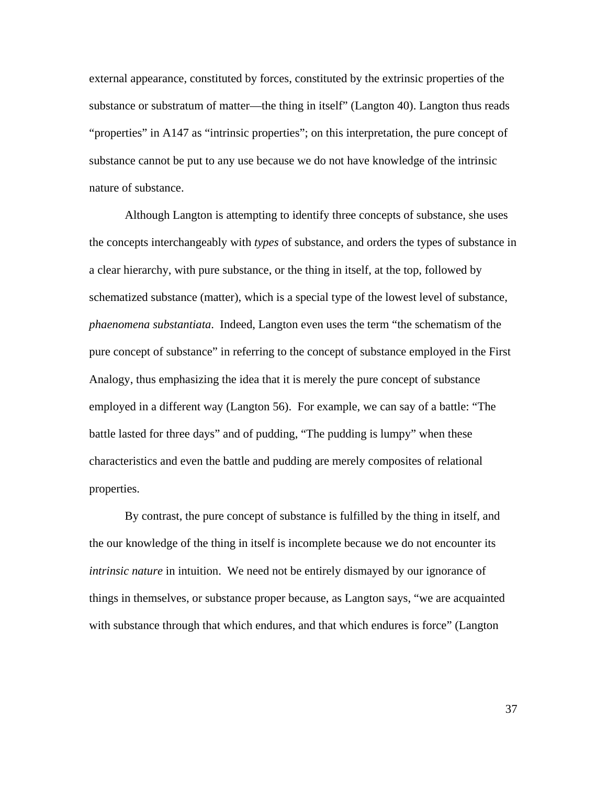external appearance, constituted by forces, constituted by the extrinsic properties of the substance or substratum of matter—the thing in itself" (Langton 40). Langton thus reads "properties" in A147 as "intrinsic properties"; on this interpretation, the pure concept of substance cannot be put to any use because we do not have knowledge of the intrinsic nature of substance.

Although Langton is attempting to identify three concepts of substance, she uses the concepts interchangeably with *types* of substance, and orders the types of substance in a clear hierarchy, with pure substance, or the thing in itself, at the top, followed by schematized substance (matter), which is a special type of the lowest level of substance, *phaenomena substantiata*. Indeed, Langton even uses the term "the schematism of the pure concept of substance" in referring to the concept of substance employed in the First Analogy, thus emphasizing the idea that it is merely the pure concept of substance employed in a different way (Langton 56). For example, we can say of a battle: "The battle lasted for three days" and of pudding, "The pudding is lumpy" when these characteristics and even the battle and pudding are merely composites of relational properties.

By contrast, the pure concept of substance is fulfilled by the thing in itself, and the our knowledge of the thing in itself is incomplete because we do not encounter its *intrinsic nature* in intuition. We need not be entirely dismayed by our ignorance of things in themselves, or substance proper because, as Langton says, "we are acquainted with substance through that which endures, and that which endures is force" (Langton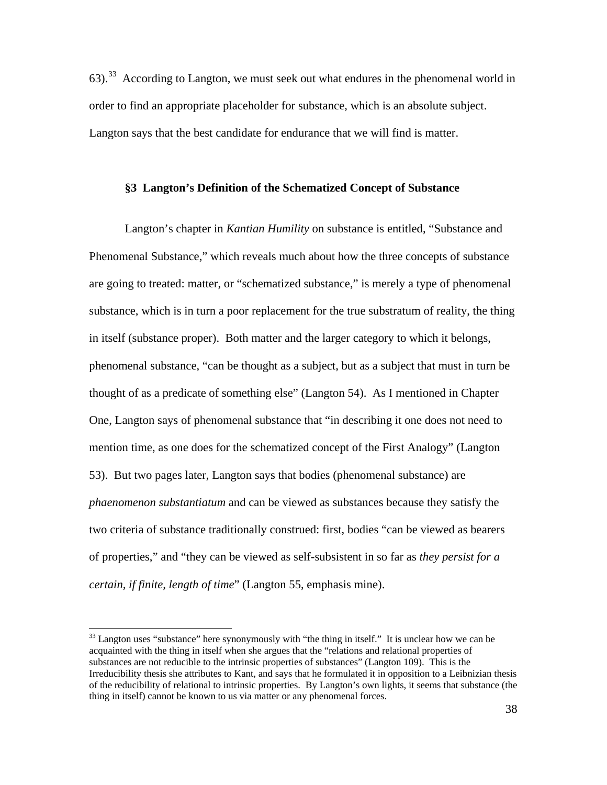63).<sup>[33](#page-40-0)</sup> According to Langton, we must seek out what endures in the phenomenal world in order to find an appropriate placeholder for substance, which is an absolute subject. Langton says that the best candidate for endurance that we will find is matter.

#### **§3 Langton's Definition of the Schematized Concept of Substance**

Langton's chapter in *Kantian Humility* on substance is entitled, "Substance and Phenomenal Substance," which reveals much about how the three concepts of substance are going to treated: matter, or "schematized substance," is merely a type of phenomenal substance, which is in turn a poor replacement for the true substratum of reality, the thing in itself (substance proper). Both matter and the larger category to which it belongs, phenomenal substance, "can be thought as a subject, but as a subject that must in turn be thought of as a predicate of something else" (Langton 54). As I mentioned in Chapter One, Langton says of phenomenal substance that "in describing it one does not need to mention time, as one does for the schematized concept of the First Analogy" (Langton 53). But two pages later, Langton says that bodies (phenomenal substance) are *phaenomenon substantiatum* and can be viewed as substances because they satisfy the two criteria of substance traditionally construed: first, bodies "can be viewed as bearers of properties," and "they can be viewed as self-subsistent in so far as *they persist for a certain, if finite, length of time*" (Langton 55, emphasis mine).

<span id="page-40-0"></span><sup>&</sup>lt;sup>33</sup> Langton uses "substance" here synonymously with "the thing in itself." It is unclear how we can be acquainted with the thing in itself when she argues that the "relations and relational properties of substances are not reducible to the intrinsic properties of substances" (Langton 109). This is the Irreducibility thesis she attributes to Kant, and says that he formulated it in opposition to a Leibnizian thesis of the reducibility of relational to intrinsic properties. By Langton's own lights, it seems that substance (the thing in itself) cannot be known to us via matter or any phenomenal forces.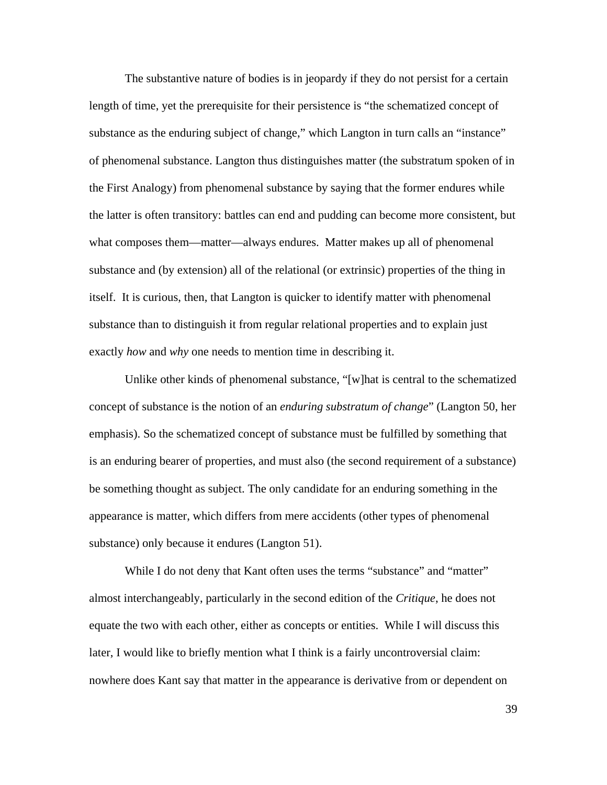The substantive nature of bodies is in jeopardy if they do not persist for a certain length of time, yet the prerequisite for their persistence is "the schematized concept of substance as the enduring subject of change," which Langton in turn calls an "instance" of phenomenal substance. Langton thus distinguishes matter (the substratum spoken of in the First Analogy) from phenomenal substance by saying that the former endures while the latter is often transitory: battles can end and pudding can become more consistent, but what composes them—matter—always endures. Matter makes up all of phenomenal substance and (by extension) all of the relational (or extrinsic) properties of the thing in itself. It is curious, then, that Langton is quicker to identify matter with phenomenal substance than to distinguish it from regular relational properties and to explain just exactly *how* and *why* one needs to mention time in describing it.

Unlike other kinds of phenomenal substance, "[w]hat is central to the schematized concept of substance is the notion of an *enduring substratum of change*" (Langton 50, her emphasis). So the schematized concept of substance must be fulfilled by something that is an enduring bearer of properties, and must also (the second requirement of a substance) be something thought as subject. The only candidate for an enduring something in the appearance is matter, which differs from mere accidents (other types of phenomenal substance) only because it endures (Langton 51).

While I do not deny that Kant often uses the terms "substance" and "matter" almost interchangeably, particularly in the second edition of the *Critique*, he does not equate the two with each other, either as concepts or entities. While I will discuss this later, I would like to briefly mention what I think is a fairly uncontroversial claim: nowhere does Kant say that matter in the appearance is derivative from or dependent on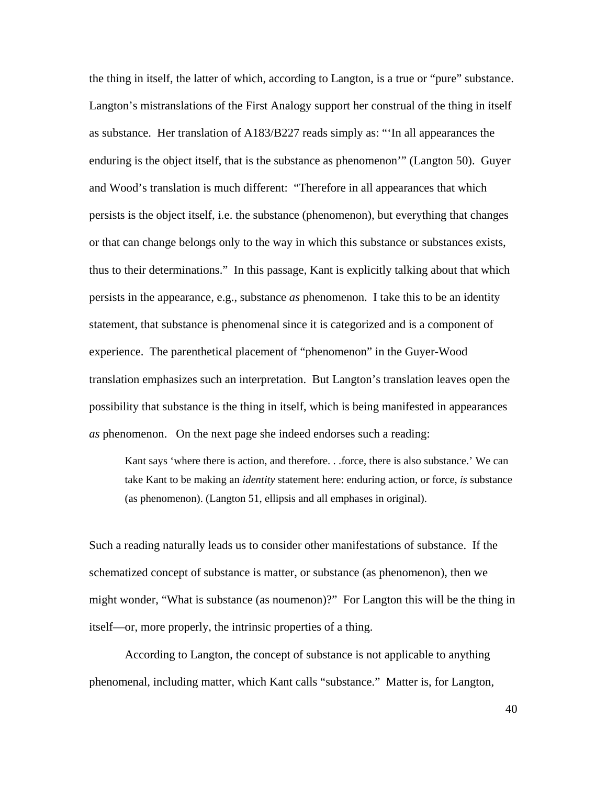the thing in itself, the latter of which, according to Langton, is a true or "pure" substance. Langton's mistranslations of the First Analogy support her construal of the thing in itself as substance. Her translation of A183/B227 reads simply as: "'In all appearances the enduring is the object itself, that is the substance as phenomenon'" (Langton 50). Guyer and Wood's translation is much different: "Therefore in all appearances that which persists is the object itself, i.e. the substance (phenomenon), but everything that changes or that can change belongs only to the way in which this substance or substances exists, thus to their determinations." In this passage, Kant is explicitly talking about that which persists in the appearance, e.g., substance *as* phenomenon. I take this to be an identity statement, that substance is phenomenal since it is categorized and is a component of experience. The parenthetical placement of "phenomenon" in the Guyer-Wood translation emphasizes such an interpretation. But Langton's translation leaves open the possibility that substance is the thing in itself, which is being manifested in appearances *as* phenomenon. On the next page she indeed endorses such a reading:

Kant says 'where there is action, and therefore. . .force, there is also substance.' We can take Kant to be making an *identity* statement here: enduring action, or force, *is* substance (as phenomenon). (Langton 51, ellipsis and all emphases in original).

Such a reading naturally leads us to consider other manifestations of substance. If the schematized concept of substance is matter, or substance (as phenomenon), then we might wonder, "What is substance (as noumenon)?" For Langton this will be the thing in itself—or, more properly, the intrinsic properties of a thing.

According to Langton, the concept of substance is not applicable to anything phenomenal, including matter, which Kant calls "substance." Matter is, for Langton,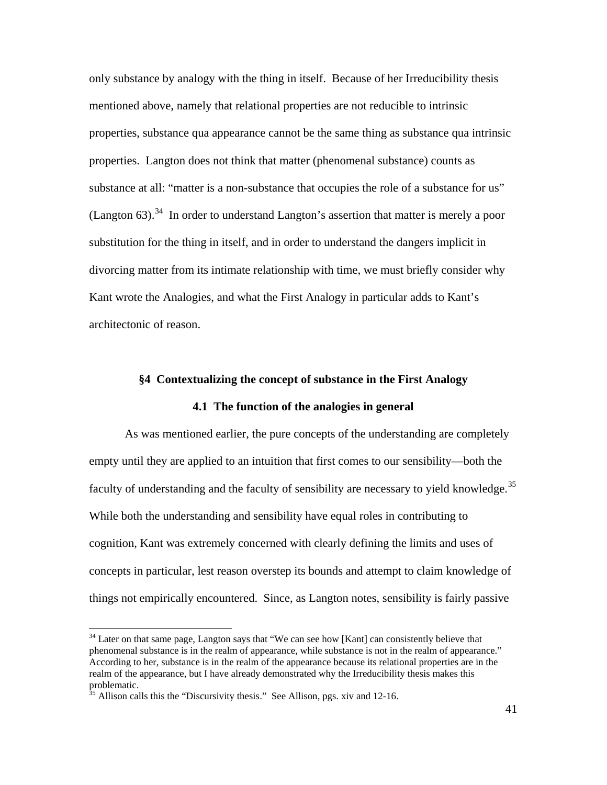only substance by analogy with the thing in itself. Because of her Irreducibility thesis mentioned above, namely that relational properties are not reducible to intrinsic properties, substance qua appearance cannot be the same thing as substance qua intrinsic properties. Langton does not think that matter (phenomenal substance) counts as substance at all: "matter is a non-substance that occupies the role of a substance for us" (Langton  $63$ ).<sup>[34](#page-43-0)</sup> In order to understand Langton's assertion that matter is merely a poor substitution for the thing in itself, and in order to understand the dangers implicit in divorcing matter from its intimate relationship with time, we must briefly consider why Kant wrote the Analogies, and what the First Analogy in particular adds to Kant's architectonic of reason.

# **§4 Contextualizing the concept of substance in the First Analogy**

## **4.1 The function of the analogies in general**

As was mentioned earlier, the pure concepts of the understanding are completely empty until they are applied to an intuition that first comes to our sensibility—both the faculty of understanding and the faculty of sensibility are necessary to yield knowledge.<sup>[35](#page-43-1)</sup> While both the understanding and sensibility have equal roles in contributing to cognition, Kant was extremely concerned with clearly defining the limits and uses of concepts in particular, lest reason overstep its bounds and attempt to claim knowledge of things not empirically encountered. Since, as Langton notes, sensibility is fairly passive

<span id="page-43-0"></span><sup>&</sup>lt;sup>34</sup> Later on that same page, Langton says that "We can see how [Kant] can consistently believe that phenomenal substance is in the realm of appearance, while substance is not in the realm of appearance." According to her, substance is in the realm of the appearance because its relational properties are in the realm of the appearance, but I have already demonstrated why the Irreducibility thesis makes this problematic.

<span id="page-43-1"></span> $35$  Allison calls this the "Discursivity thesis." See Allison, pgs. xiv and 12-16.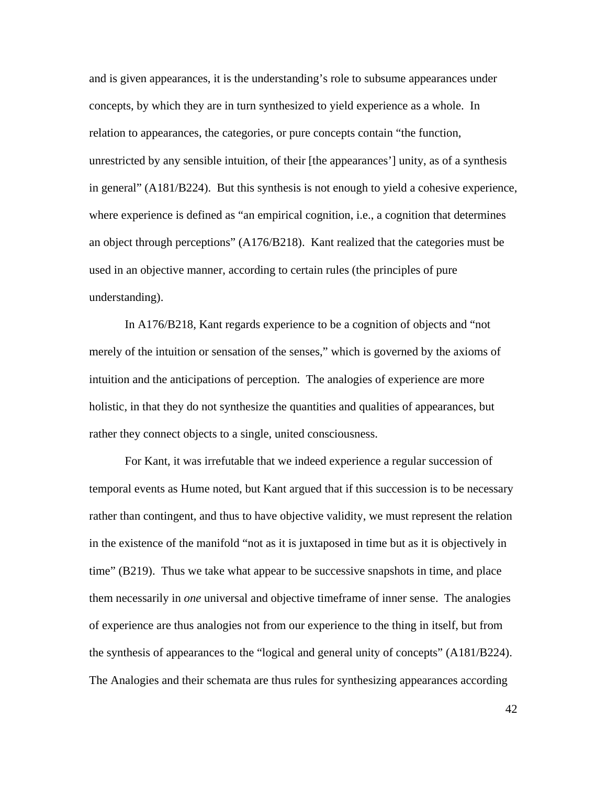and is given appearances, it is the understanding's role to subsume appearances under concepts, by which they are in turn synthesized to yield experience as a whole. In relation to appearances, the categories, or pure concepts contain "the function, unrestricted by any sensible intuition, of their [the appearances'] unity, as of a synthesis in general" (A181/B224). But this synthesis is not enough to yield a cohesive experience, where experience is defined as "an empirical cognition, i.e., a cognition that determines an object through perceptions" (A176/B218). Kant realized that the categories must be used in an objective manner, according to certain rules (the principles of pure understanding).

In A176/B218, Kant regards experience to be a cognition of objects and "not merely of the intuition or sensation of the senses," which is governed by the axioms of intuition and the anticipations of perception. The analogies of experience are more holistic, in that they do not synthesize the quantities and qualities of appearances, but rather they connect objects to a single, united consciousness.

For Kant, it was irrefutable that we indeed experience a regular succession of temporal events as Hume noted, but Kant argued that if this succession is to be necessary rather than contingent, and thus to have objective validity, we must represent the relation in the existence of the manifold "not as it is juxtaposed in time but as it is objectively in time" (B219). Thus we take what appear to be successive snapshots in time, and place them necessarily in *one* universal and objective timeframe of inner sense. The analogies of experience are thus analogies not from our experience to the thing in itself, but from the synthesis of appearances to the "logical and general unity of concepts" (A181/B224). The Analogies and their schemata are thus rules for synthesizing appearances according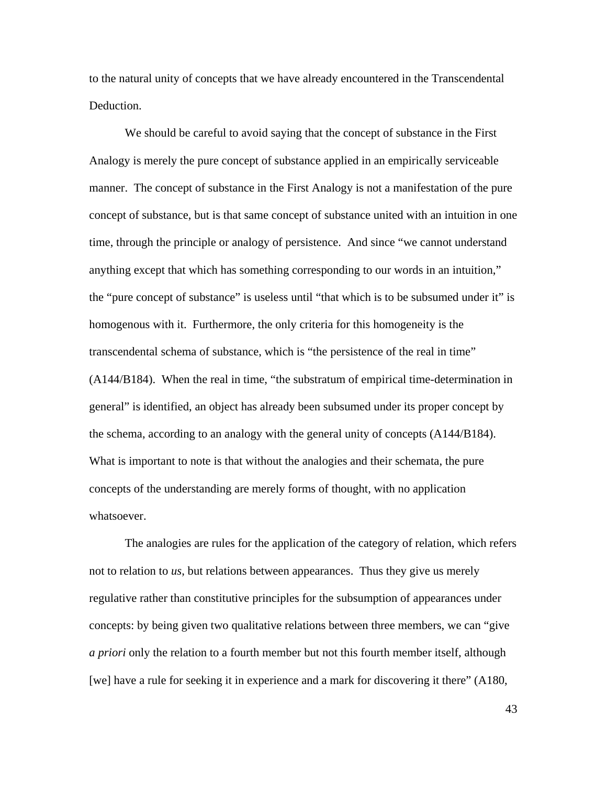to the natural unity of concepts that we have already encountered in the Transcendental Deduction.

We should be careful to avoid saying that the concept of substance in the First Analogy is merely the pure concept of substance applied in an empirically serviceable manner. The concept of substance in the First Analogy is not a manifestation of the pure concept of substance, but is that same concept of substance united with an intuition in one time, through the principle or analogy of persistence. And since "we cannot understand anything except that which has something corresponding to our words in an intuition," the "pure concept of substance" is useless until "that which is to be subsumed under it" is homogenous with it. Furthermore, the only criteria for this homogeneity is the transcendental schema of substance, which is "the persistence of the real in time" (A144/B184). When the real in time, "the substratum of empirical time-determination in general" is identified, an object has already been subsumed under its proper concept by the schema, according to an analogy with the general unity of concepts (A144/B184). What is important to note is that without the analogies and their schemata, the pure concepts of the understanding are merely forms of thought, with no application whatsoever.

The analogies are rules for the application of the category of relation, which refers not to relation to *us*, but relations between appearances. Thus they give us merely regulative rather than constitutive principles for the subsumption of appearances under concepts: by being given two qualitative relations between three members, we can "give *a priori* only the relation to a fourth member but not this fourth member itself, although [we] have a rule for seeking it in experience and a mark for discovering it there" (A180,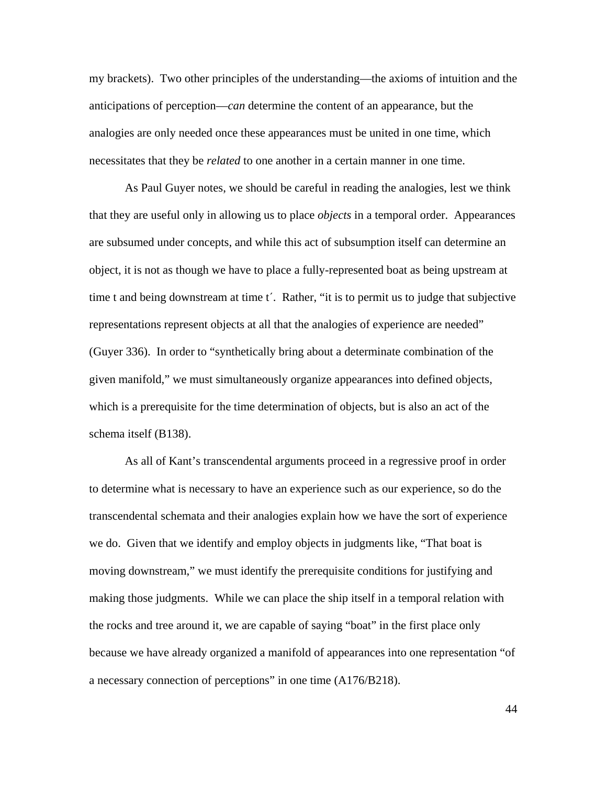my brackets). Two other principles of the understanding—the axioms of intuition and the anticipations of perception—*can* determine the content of an appearance, but the analogies are only needed once these appearances must be united in one time, which necessitates that they be *related* to one another in a certain manner in one time.

As Paul Guyer notes, we should be careful in reading the analogies, lest we think that they are useful only in allowing us to place *objects* in a temporal order. Appearances are subsumed under concepts, and while this act of subsumption itself can determine an object, it is not as though we have to place a fully-represented boat as being upstream at time t and being downstream at time tʹ. Rather, "it is to permit us to judge that subjective representations represent objects at all that the analogies of experience are needed" (Guyer 336). In order to "synthetically bring about a determinate combination of the given manifold," we must simultaneously organize appearances into defined objects, which is a prerequisite for the time determination of objects, but is also an act of the schema itself (B138).

As all of Kant's transcendental arguments proceed in a regressive proof in order to determine what is necessary to have an experience such as our experience, so do the transcendental schemata and their analogies explain how we have the sort of experience we do. Given that we identify and employ objects in judgments like, "That boat is moving downstream," we must identify the prerequisite conditions for justifying and making those judgments. While we can place the ship itself in a temporal relation with the rocks and tree around it, we are capable of saying "boat" in the first place only because we have already organized a manifold of appearances into one representation "of a necessary connection of perceptions" in one time (A176/B218).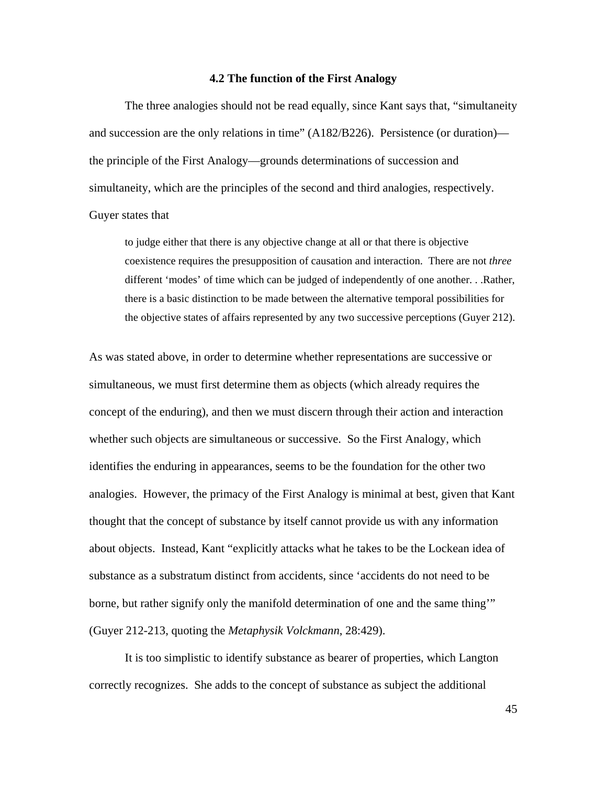#### **4.2 The function of the First Analogy**

The three analogies should not be read equally, since Kant says that, "simultaneity and succession are the only relations in time" (A182/B226). Persistence (or duration) the principle of the First Analogy—grounds determinations of succession and simultaneity, which are the principles of the second and third analogies, respectively.

### Guyer states that

to judge either that there is any objective change at all or that there is objective coexistence requires the presupposition of causation and interaction. There are not *three* different 'modes' of time which can be judged of independently of one another. . .Rather, there is a basic distinction to be made between the alternative temporal possibilities for the objective states of affairs represented by any two successive perceptions (Guyer 212).

As was stated above, in order to determine whether representations are successive or simultaneous, we must first determine them as objects (which already requires the concept of the enduring), and then we must discern through their action and interaction whether such objects are simultaneous or successive. So the First Analogy, which identifies the enduring in appearances, seems to be the foundation for the other two analogies. However, the primacy of the First Analogy is minimal at best, given that Kant thought that the concept of substance by itself cannot provide us with any information about objects. Instead, Kant "explicitly attacks what he takes to be the Lockean idea of substance as a substratum distinct from accidents, since 'accidents do not need to be borne, but rather signify only the manifold determination of one and the same thing'" (Guyer 212-213, quoting the *Metaphysik Volckmann*, 28:429).

It is too simplistic to identify substance as bearer of properties, which Langton correctly recognizes. She adds to the concept of substance as subject the additional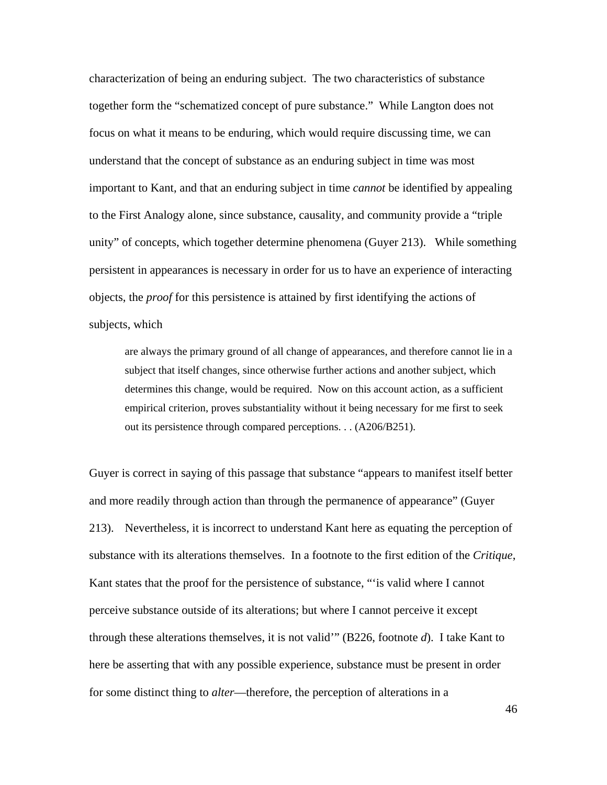characterization of being an enduring subject. The two characteristics of substance together form the "schematized concept of pure substance." While Langton does not focus on what it means to be enduring, which would require discussing time, we can understand that the concept of substance as an enduring subject in time was most important to Kant, and that an enduring subject in time *cannot* be identified by appealing to the First Analogy alone, since substance, causality, and community provide a "triple unity" of concepts, which together determine phenomena (Guyer 213). While something persistent in appearances is necessary in order for us to have an experience of interacting objects, the *proof* for this persistence is attained by first identifying the actions of subjects, which

are always the primary ground of all change of appearances, and therefore cannot lie in a subject that itself changes, since otherwise further actions and another subject, which determines this change, would be required. Now on this account action, as a sufficient empirical criterion, proves substantiality without it being necessary for me first to seek out its persistence through compared perceptions. . . (A206/B251).

Guyer is correct in saying of this passage that substance "appears to manifest itself better and more readily through action than through the permanence of appearance" (Guyer 213). Nevertheless, it is incorrect to understand Kant here as equating the perception of substance with its alterations themselves. In a footnote to the first edition of the *Critique*, Kant states that the proof for the persistence of substance, "'is valid where I cannot perceive substance outside of its alterations; but where I cannot perceive it except through these alterations themselves, it is not valid'" (B226, footnote *d*). I take Kant to here be asserting that with any possible experience, substance must be present in order for some distinct thing to *alter*—therefore, the perception of alterations in a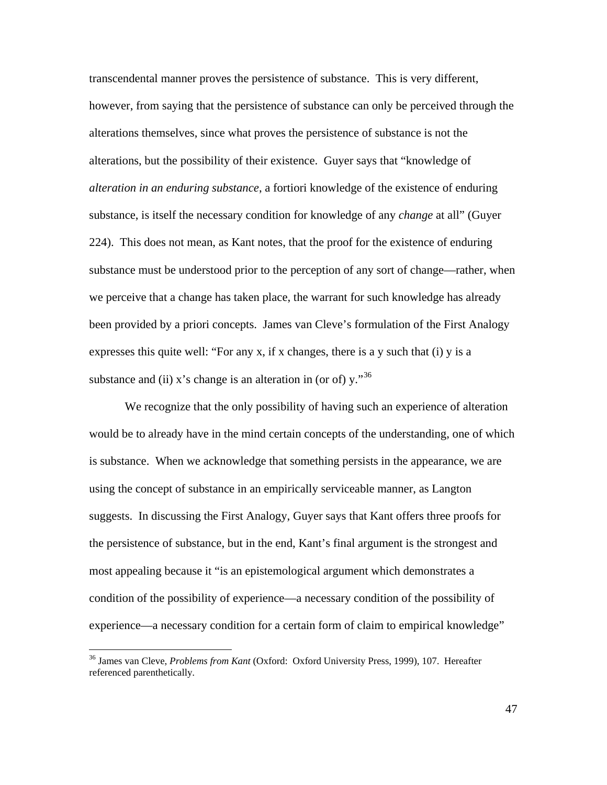transcendental manner proves the persistence of substance. This is very different, however, from saying that the persistence of substance can only be perceived through the alterations themselves, since what proves the persistence of substance is not the alterations, but the possibility of their existence. Guyer says that "knowledge of *alteration in an enduring substance*, a fortiori knowledge of the existence of enduring substance, is itself the necessary condition for knowledge of any *change* at all" (Guyer 224). This does not mean, as Kant notes, that the proof for the existence of enduring substance must be understood prior to the perception of any sort of change—rather, when we perceive that a change has taken place, the warrant for such knowledge has already been provided by a priori concepts. James van Cleve's formulation of the First Analogy expresses this quite well: "For any x, if x changes, there is a y such that (i) y is a substance and (ii) x's change is an alteration in (or of)  $v.^{36}$  $v.^{36}$  $v.^{36}$ 

We recognize that the only possibility of having such an experience of alteration would be to already have in the mind certain concepts of the understanding, one of which is substance. When we acknowledge that something persists in the appearance, we are using the concept of substance in an empirically serviceable manner, as Langton suggests. In discussing the First Analogy, Guyer says that Kant offers three proofs for the persistence of substance, but in the end, Kant's final argument is the strongest and most appealing because it "is an epistemological argument which demonstrates a condition of the possibility of experience—a necessary condition of the possibility of experience—a necessary condition for a certain form of claim to empirical knowledge"

<span id="page-49-0"></span><sup>36</sup> James van Cleve, *Problems from Kant* (Oxford: Oxford University Press, 1999), 107. Hereafter referenced parenthetically.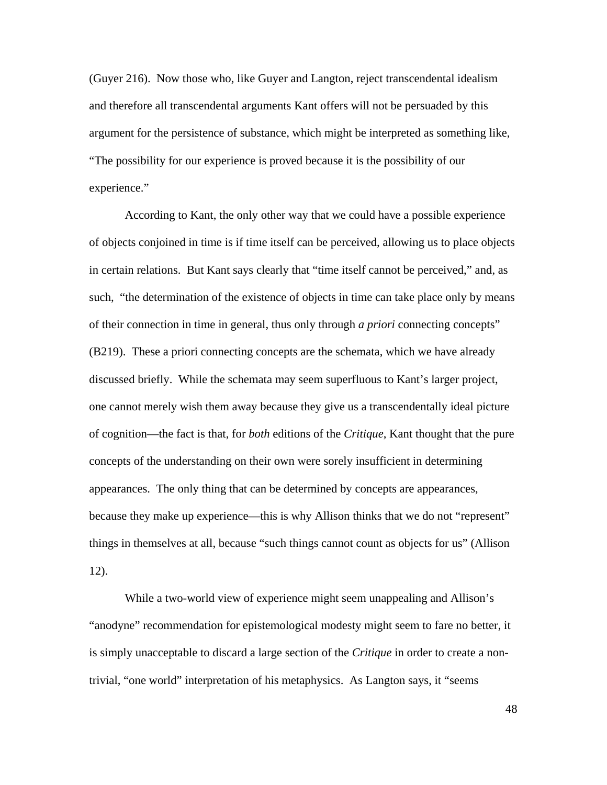(Guyer 216). Now those who, like Guyer and Langton, reject transcendental idealism and therefore all transcendental arguments Kant offers will not be persuaded by this argument for the persistence of substance, which might be interpreted as something like, "The possibility for our experience is proved because it is the possibility of our experience."

According to Kant, the only other way that we could have a possible experience of objects conjoined in time is if time itself can be perceived, allowing us to place objects in certain relations. But Kant says clearly that "time itself cannot be perceived," and, as such, "the determination of the existence of objects in time can take place only by means of their connection in time in general, thus only through *a priori* connecting concepts" (B219). These a priori connecting concepts are the schemata, which we have already discussed briefly. While the schemata may seem superfluous to Kant's larger project, one cannot merely wish them away because they give us a transcendentally ideal picture of cognition—the fact is that, for *both* editions of the *Critique*, Kant thought that the pure concepts of the understanding on their own were sorely insufficient in determining appearances. The only thing that can be determined by concepts are appearances, because they make up experience—this is why Allison thinks that we do not "represent" things in themselves at all, because "such things cannot count as objects for us" (Allison 12).

While a two-world view of experience might seem unappealing and Allison's "anodyne" recommendation for epistemological modesty might seem to fare no better, it is simply unacceptable to discard a large section of the *Critique* in order to create a nontrivial, "one world" interpretation of his metaphysics. As Langton says, it "seems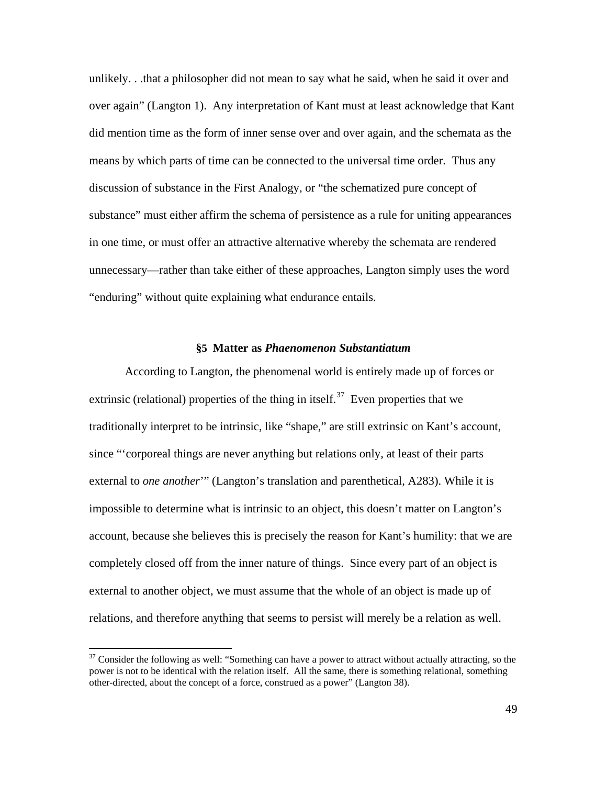unlikely. . .that a philosopher did not mean to say what he said, when he said it over and over again" (Langton 1). Any interpretation of Kant must at least acknowledge that Kant did mention time as the form of inner sense over and over again, and the schemata as the means by which parts of time can be connected to the universal time order. Thus any discussion of substance in the First Analogy, or "the schematized pure concept of substance" must either affirm the schema of persistence as a rule for uniting appearances in one time, or must offer an attractive alternative whereby the schemata are rendered unnecessary—rather than take either of these approaches, Langton simply uses the word "enduring" without quite explaining what endurance entails.

#### **§5 Matter as** *Phaenomenon Substantiatum*

According to Langton, the phenomenal world is entirely made up of forces or extrinsic (relational) properties of the thing in itself.<sup>[37](#page-51-0)</sup> Even properties that we traditionally interpret to be intrinsic, like "shape," are still extrinsic on Kant's account, since "'corporeal things are never anything but relations only, at least of their parts external to *one another*'" (Langton's translation and parenthetical, A283). While it is impossible to determine what is intrinsic to an object, this doesn't matter on Langton's account, because she believes this is precisely the reason for Kant's humility: that we are completely closed off from the inner nature of things. Since every part of an object is external to another object, we must assume that the whole of an object is made up of relations, and therefore anything that seems to persist will merely be a relation as well.

<span id="page-51-0"></span><sup>&</sup>lt;sup>37</sup> Consider the following as well: "Something can have a power to attract without actually attracting, so the power is not to be identical with the relation itself. All the same, there is something relational, something other-directed, about the concept of a force, construed as a power" (Langton 38).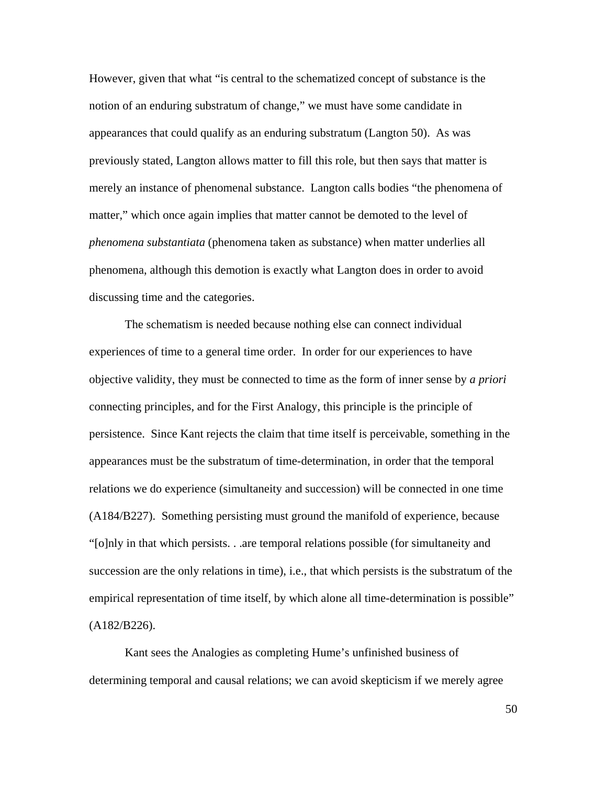However, given that what "is central to the schematized concept of substance is the notion of an enduring substratum of change," we must have some candidate in appearances that could qualify as an enduring substratum (Langton 50). As was previously stated, Langton allows matter to fill this role, but then says that matter is merely an instance of phenomenal substance. Langton calls bodies "the phenomena of matter," which once again implies that matter cannot be demoted to the level of *phenomena substantiata* (phenomena taken as substance) when matter underlies all phenomena, although this demotion is exactly what Langton does in order to avoid discussing time and the categories.

The schematism is needed because nothing else can connect individual experiences of time to a general time order. In order for our experiences to have objective validity, they must be connected to time as the form of inner sense by *a priori* connecting principles, and for the First Analogy, this principle is the principle of persistence. Since Kant rejects the claim that time itself is perceivable, something in the appearances must be the substratum of time-determination, in order that the temporal relations we do experience (simultaneity and succession) will be connected in one time (A184/B227). Something persisting must ground the manifold of experience, because "[o]nly in that which persists. . .are temporal relations possible (for simultaneity and succession are the only relations in time), i.e., that which persists is the substratum of the empirical representation of time itself, by which alone all time-determination is possible" (A182/B226).

Kant sees the Analogies as completing Hume's unfinished business of determining temporal and causal relations; we can avoid skepticism if we merely agree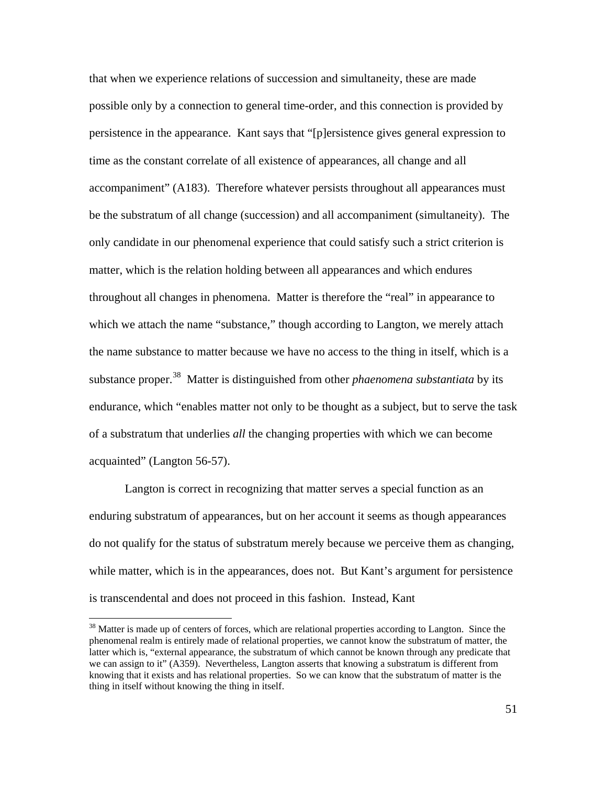that when we experience relations of succession and simultaneity, these are made possible only by a connection to general time-order, and this connection is provided by persistence in the appearance. Kant says that "[p]ersistence gives general expression to time as the constant correlate of all existence of appearances, all change and all accompaniment" (A183). Therefore whatever persists throughout all appearances must be the substratum of all change (succession) and all accompaniment (simultaneity). The only candidate in our phenomenal experience that could satisfy such a strict criterion is matter, which is the relation holding between all appearances and which endures throughout all changes in phenomena. Matter is therefore the "real" in appearance to which we attach the name "substance," though according to Langton, we merely attach the name substance to matter because we have no access to the thing in itself, which is a substance proper.<sup>[38](#page-53-0)</sup> Matter is distinguished from other *phaenomena substantiata* by its endurance, which "enables matter not only to be thought as a subject, but to serve the task of a substratum that underlies *all* the changing properties with which we can become acquainted" (Langton 56-57).

Langton is correct in recognizing that matter serves a special function as an enduring substratum of appearances, but on her account it seems as though appearances do not qualify for the status of substratum merely because we perceive them as changing, while matter, which is in the appearances, does not. But Kant's argument for persistence is transcendental and does not proceed in this fashion. Instead, Kant

<span id="page-53-0"></span><sup>&</sup>lt;sup>38</sup> Matter is made up of centers of forces, which are relational properties according to Langton. Since the phenomenal realm is entirely made of relational properties, we cannot know the substratum of matter, the latter which is, "external appearance, the substratum of which cannot be known through any predicate that we can assign to it" (A359). Nevertheless, Langton asserts that knowing a substratum is different from knowing that it exists and has relational properties. So we can know that the substratum of matter is the thing in itself without knowing the thing in itself.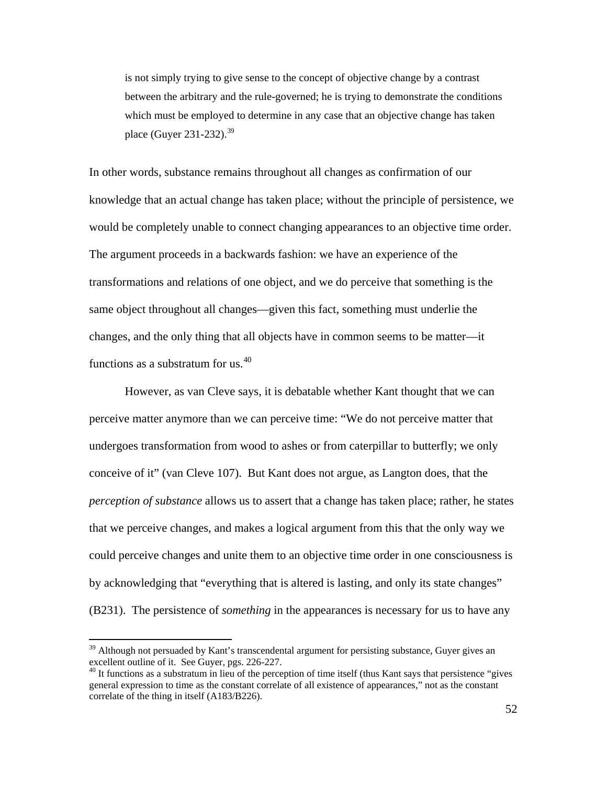is not simply trying to give sense to the concept of objective change by a contrast between the arbitrary and the rule-governed; he is trying to demonstrate the conditions which must be employed to determine in any case that an objective change has taken place (Guyer 231-232).<sup>[39](#page-54-0)</sup>

In other words, substance remains throughout all changes as confirmation of our knowledge that an actual change has taken place; without the principle of persistence, we would be completely unable to connect changing appearances to an objective time order. The argument proceeds in a backwards fashion: we have an experience of the transformations and relations of one object, and we do perceive that something is the same object throughout all changes—given this fact, something must underlie the changes, and the only thing that all objects have in common seems to be matter—it functions as a substratum for us.<sup>[40](#page-54-1)</sup>

However, as van Cleve says, it is debatable whether Kant thought that we can perceive matter anymore than we can perceive time: "We do not perceive matter that undergoes transformation from wood to ashes or from caterpillar to butterfly; we only conceive of it" (van Cleve 107). But Kant does not argue, as Langton does, that the *perception of substance* allows us to assert that a change has taken place; rather, he states that we perceive changes, and makes a logical argument from this that the only way we could perceive changes and unite them to an objective time order in one consciousness is by acknowledging that "everything that is altered is lasting, and only its state changes" (B231). The persistence of *something* in the appearances is necessary for us to have any

<span id="page-54-0"></span> $39$  Although not persuaded by Kant's transcendental argument for persisting substance, Guyer gives an

<span id="page-54-1"></span>excellent outline of it. See Guyer, pgs. 226-227.<br><sup>40</sup> It functions as a substratum in lieu of the perception of time itself (thus Kant says that persistence "gives general expression to time as the constant correlate of all existence of appearances," not as the constant correlate of the thing in itself (A183/B226).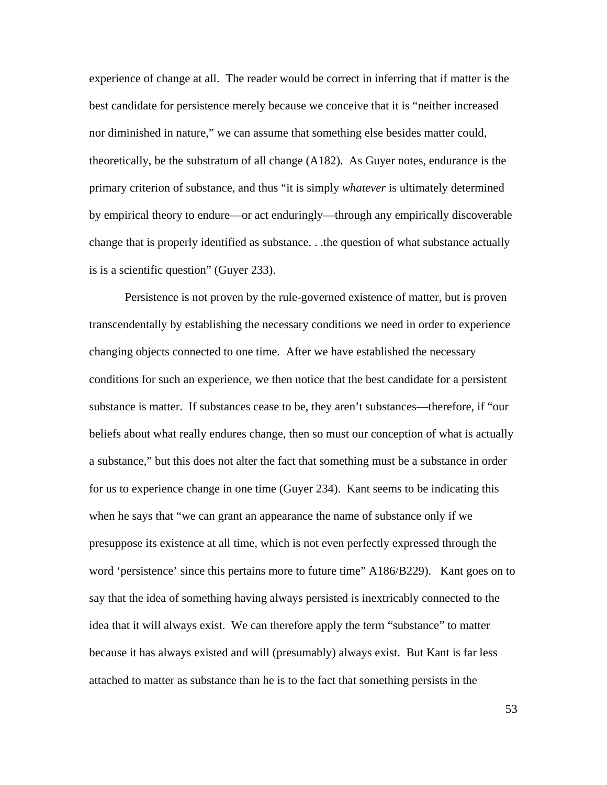experience of change at all. The reader would be correct in inferring that if matter is the best candidate for persistence merely because we conceive that it is "neither increased nor diminished in nature," we can assume that something else besides matter could, theoretically, be the substratum of all change (A182). As Guyer notes, endurance is the primary criterion of substance, and thus "it is simply *whatever* is ultimately determined by empirical theory to endure—or act enduringly—through any empirically discoverable change that is properly identified as substance. . .the question of what substance actually is is a scientific question" (Guyer 233).

Persistence is not proven by the rule-governed existence of matter, but is proven transcendentally by establishing the necessary conditions we need in order to experience changing objects connected to one time. After we have established the necessary conditions for such an experience, we then notice that the best candidate for a persistent substance is matter. If substances cease to be, they aren't substances—therefore, if "our beliefs about what really endures change, then so must our conception of what is actually a substance," but this does not alter the fact that something must be a substance in order for us to experience change in one time (Guyer 234). Kant seems to be indicating this when he says that "we can grant an appearance the name of substance only if we presuppose its existence at all time, which is not even perfectly expressed through the word 'persistence' since this pertains more to future time" A186/B229). Kant goes on to say that the idea of something having always persisted is inextricably connected to the idea that it will always exist. We can therefore apply the term "substance" to matter because it has always existed and will (presumably) always exist. But Kant is far less attached to matter as substance than he is to the fact that something persists in the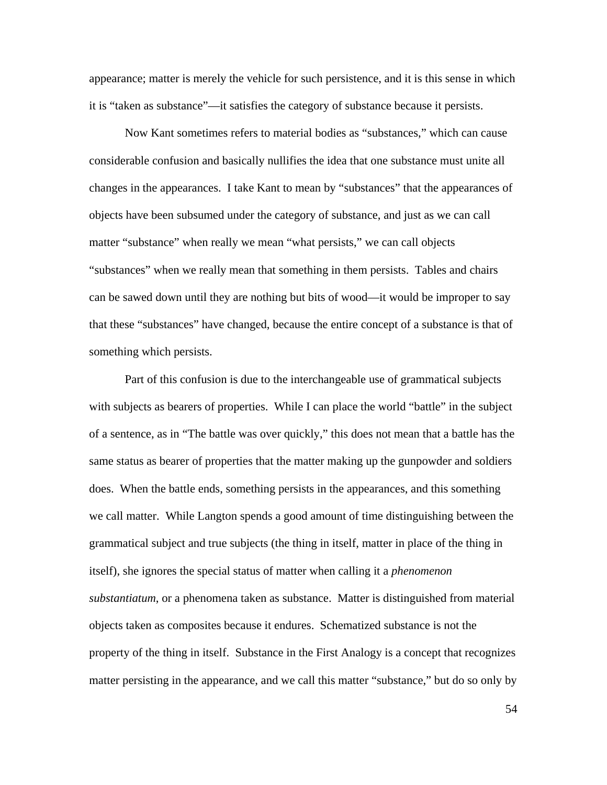appearance; matter is merely the vehicle for such persistence, and it is this sense in which it is "taken as substance"—it satisfies the category of substance because it persists.

Now Kant sometimes refers to material bodies as "substances," which can cause considerable confusion and basically nullifies the idea that one substance must unite all changes in the appearances. I take Kant to mean by "substances" that the appearances of objects have been subsumed under the category of substance, and just as we can call matter "substance" when really we mean "what persists," we can call objects "substances" when we really mean that something in them persists. Tables and chairs can be sawed down until they are nothing but bits of wood—it would be improper to say that these "substances" have changed, because the entire concept of a substance is that of something which persists.

Part of this confusion is due to the interchangeable use of grammatical subjects with subjects as bearers of properties. While I can place the world "battle" in the subject of a sentence, as in "The battle was over quickly," this does not mean that a battle has the same status as bearer of properties that the matter making up the gunpowder and soldiers does. When the battle ends, something persists in the appearances, and this something we call matter. While Langton spends a good amount of time distinguishing between the grammatical subject and true subjects (the thing in itself, matter in place of the thing in itself), she ignores the special status of matter when calling it a *phenomenon substantiatum*, or a phenomena taken as substance. Matter is distinguished from material objects taken as composites because it endures. Schematized substance is not the property of the thing in itself. Substance in the First Analogy is a concept that recognizes matter persisting in the appearance, and we call this matter "substance," but do so only by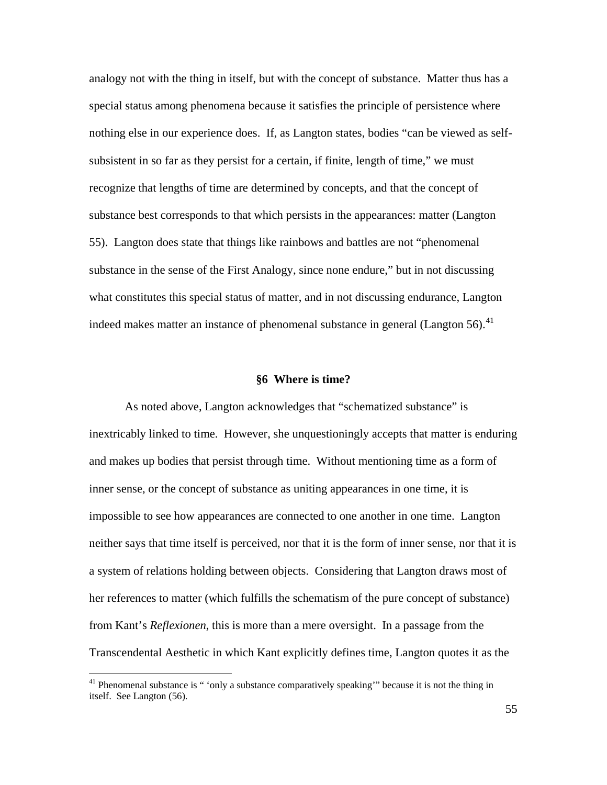analogy not with the thing in itself, but with the concept of substance. Matter thus has a special status among phenomena because it satisfies the principle of persistence where nothing else in our experience does. If, as Langton states, bodies "can be viewed as selfsubsistent in so far as they persist for a certain, if finite, length of time," we must recognize that lengths of time are determined by concepts, and that the concept of substance best corresponds to that which persists in the appearances: matter (Langton 55). Langton does state that things like rainbows and battles are not "phenomenal substance in the sense of the First Analogy, since none endure," but in not discussing what constitutes this special status of matter, and in not discussing endurance, Langton indeed makes matter an instance of phenomenal substance in general (Langton 56).<sup>[41](#page-57-0)</sup>

#### **§6 Where is time?**

As noted above, Langton acknowledges that "schematized substance" is inextricably linked to time. However, she unquestioningly accepts that matter is enduring and makes up bodies that persist through time. Without mentioning time as a form of inner sense, or the concept of substance as uniting appearances in one time, it is impossible to see how appearances are connected to one another in one time. Langton neither says that time itself is perceived, nor that it is the form of inner sense, nor that it is a system of relations holding between objects. Considering that Langton draws most of her references to matter (which fulfills the schematism of the pure concept of substance) from Kant's *Reflexionen*, this is more than a mere oversight. In a passage from the Transcendental Aesthetic in which Kant explicitly defines time, Langton quotes it as the

<span id="page-57-0"></span><sup>&</sup>lt;sup>41</sup> Phenomenal substance is " 'only a substance comparatively speaking'" because it is not the thing in itself. See Langton (56).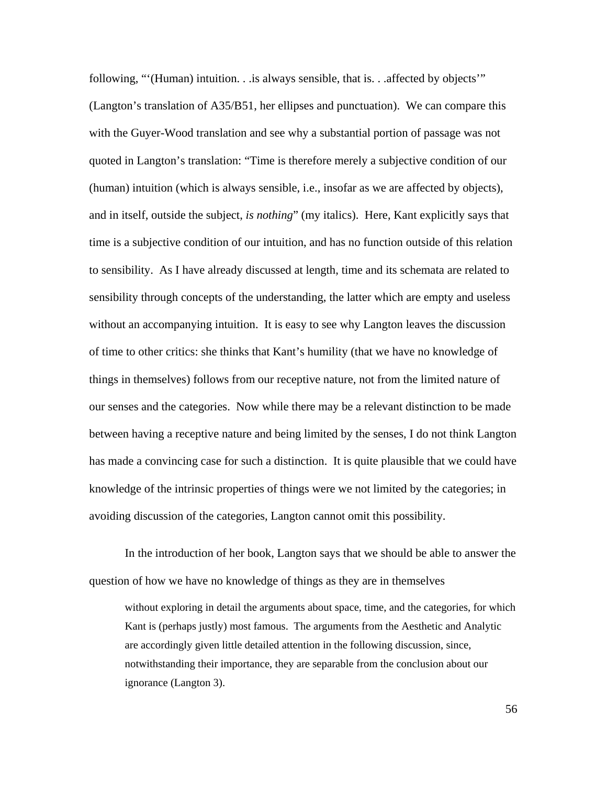following, "'(Human) intuition. . .is always sensible, that is. . .affected by objects'" (Langton's translation of A35/B51, her ellipses and punctuation). We can compare this with the Guyer-Wood translation and see why a substantial portion of passage was not quoted in Langton's translation: "Time is therefore merely a subjective condition of our (human) intuition (which is always sensible, i.e., insofar as we are affected by objects), and in itself, outside the subject, *is nothing*" (my italics). Here, Kant explicitly says that time is a subjective condition of our intuition, and has no function outside of this relation to sensibility. As I have already discussed at length, time and its schemata are related to sensibility through concepts of the understanding, the latter which are empty and useless without an accompanying intuition. It is easy to see why Langton leaves the discussion of time to other critics: she thinks that Kant's humility (that we have no knowledge of things in themselves) follows from our receptive nature, not from the limited nature of our senses and the categories. Now while there may be a relevant distinction to be made between having a receptive nature and being limited by the senses, I do not think Langton has made a convincing case for such a distinction. It is quite plausible that we could have knowledge of the intrinsic properties of things were we not limited by the categories; in avoiding discussion of the categories, Langton cannot omit this possibility.

In the introduction of her book, Langton says that we should be able to answer the question of how we have no knowledge of things as they are in themselves

without exploring in detail the arguments about space, time, and the categories, for which Kant is (perhaps justly) most famous. The arguments from the Aesthetic and Analytic are accordingly given little detailed attention in the following discussion, since, notwithstanding their importance, they are separable from the conclusion about our ignorance (Langton 3).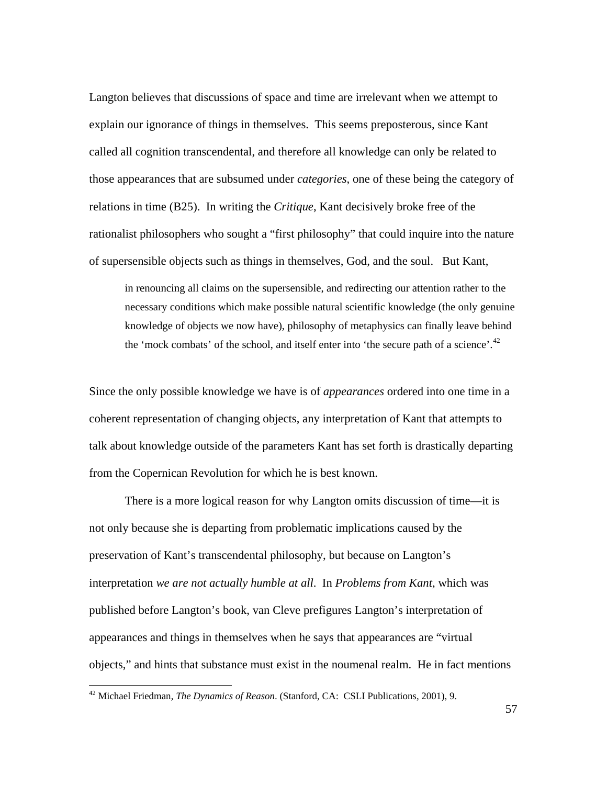Langton believes that discussions of space and time are irrelevant when we attempt to explain our ignorance of things in themselves. This seems preposterous, since Kant called all cognition transcendental, and therefore all knowledge can only be related to those appearances that are subsumed under *categories*, one of these being the category of relations in time (B25). In writing the *Critique*, Kant decisively broke free of the rationalist philosophers who sought a "first philosophy" that could inquire into the nature of supersensible objects such as things in themselves, God, and the soul. But Kant,

in renouncing all claims on the supersensible, and redirecting our attention rather to the necessary conditions which make possible natural scientific knowledge (the only genuine knowledge of objects we now have), philosophy of metaphysics can finally leave behind the 'mock combats' of the school, and itself enter into 'the secure path of a science'.<sup>[42](#page-59-0)</sup>

Since the only possible knowledge we have is of *appearances* ordered into one time in a coherent representation of changing objects, any interpretation of Kant that attempts to talk about knowledge outside of the parameters Kant has set forth is drastically departing from the Copernican Revolution for which he is best known.

There is a more logical reason for why Langton omits discussion of time—it is not only because she is departing from problematic implications caused by the preservation of Kant's transcendental philosophy, but because on Langton's interpretation *we are not actually humble at all*. In *Problems from Kant*, which was published before Langton's book, van Cleve prefigures Langton's interpretation of appearances and things in themselves when he says that appearances are "virtual objects," and hints that substance must exist in the noumenal realm. He in fact mentions

<span id="page-59-0"></span><sup>42</sup> Michael Friedman, *The Dynamics of Reason*. (Stanford, CA: CSLI Publications, 2001), 9.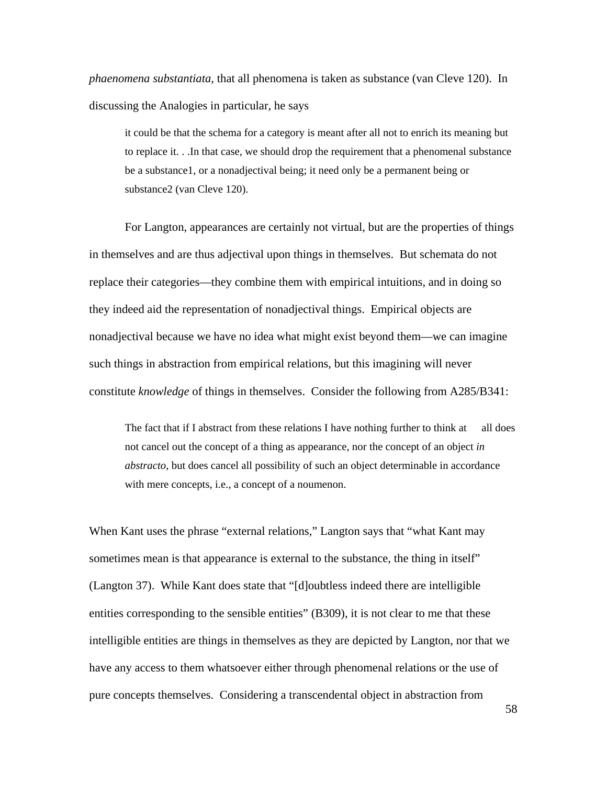*phaenomena substantiata*, that all phenomena is taken as substance (van Cleve 120). In discussing the Analogies in particular, he says

it could be that the schema for a category is meant after all not to enrich its meaning but to replace it. . .In that case, we should drop the requirement that a phenomenal substance be a substance1, or a nonadjectival being; it need only be a permanent being or substance2 (van Cleve 120).

For Langton, appearances are certainly not virtual, but are the properties of things in themselves and are thus adjectival upon things in themselves. But schemata do not replace their categories—they combine them with empirical intuitions, and in doing so they indeed aid the representation of nonadjectival things. Empirical objects are nonadjectival because we have no idea what might exist beyond them—we can imagine such things in abstraction from empirical relations, but this imagining will never constitute *knowledge* of things in themselves. Consider the following from A285/B341:

The fact that if I abstract from these relations I have nothing further to think at all does not cancel out the concept of a thing as appearance, nor the concept of an object *in abstracto*, but does cancel all possibility of such an object determinable in accordance with mere concepts, i.e., a concept of a noumenon.

When Kant uses the phrase "external relations," Langton says that "what Kant may sometimes mean is that appearance is external to the substance, the thing in itself" (Langton 37). While Kant does state that "[d]oubtless indeed there are intelligible entities corresponding to the sensible entities" (B309), it is not clear to me that these intelligible entities are things in themselves as they are depicted by Langton, nor that we have any access to them whatsoever either through phenomenal relations or the use of pure concepts themselves. Considering a transcendental object in abstraction from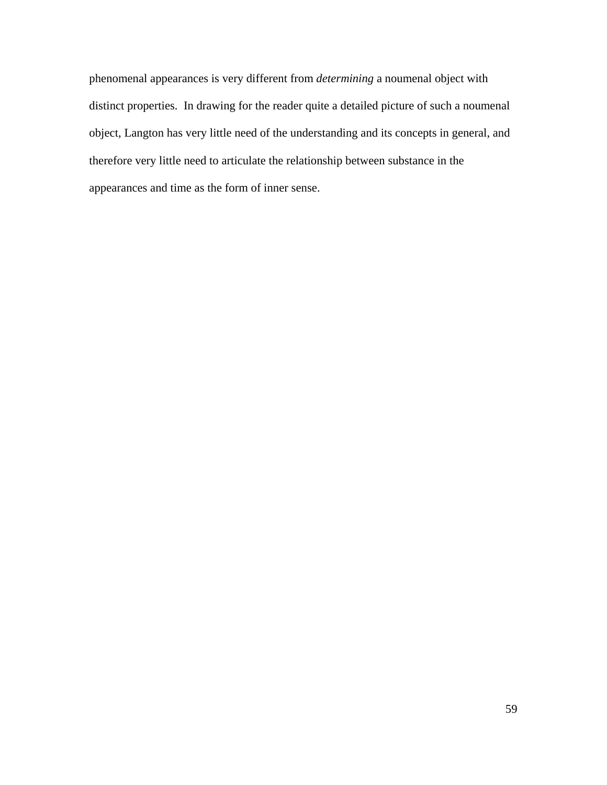phenomenal appearances is very different from *determining* a noumenal object with distinct properties. In drawing for the reader quite a detailed picture of such a noumenal object, Langton has very little need of the understanding and its concepts in general, and therefore very little need to articulate the relationship between substance in the appearances and time as the form of inner sense.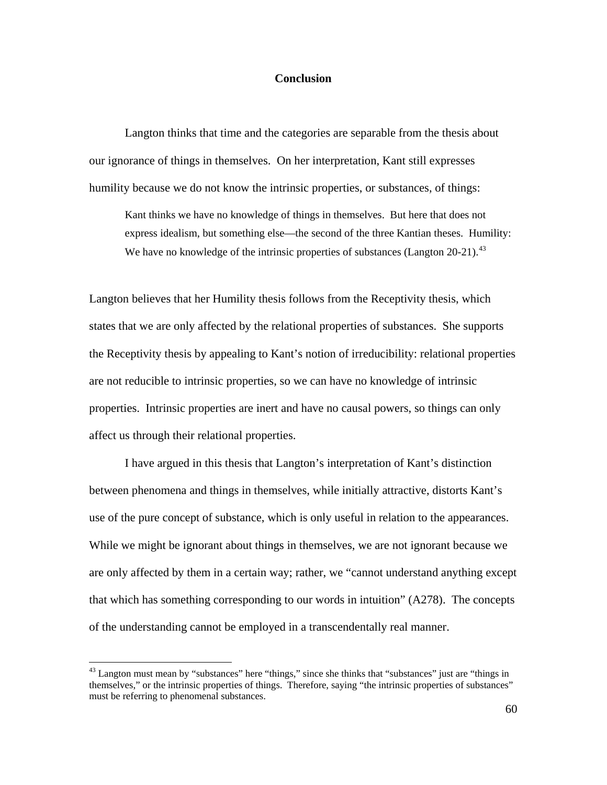#### **Conclusion**

Langton thinks that time and the categories are separable from the thesis about our ignorance of things in themselves. On her interpretation, Kant still expresses humility because we do not know the intrinsic properties, or substances, of things:

Kant thinks we have no knowledge of things in themselves. But here that does not express idealism, but something else—the second of the three Kantian theses. Humility: We have no knowledge of the intrinsic properties of substances (Langton  $20-21$ ).<sup>[43](#page-62-0)</sup>

Langton believes that her Humility thesis follows from the Receptivity thesis, which states that we are only affected by the relational properties of substances. She supports the Receptivity thesis by appealing to Kant's notion of irreducibility: relational properties are not reducible to intrinsic properties, so we can have no knowledge of intrinsic properties. Intrinsic properties are inert and have no causal powers, so things can only affect us through their relational properties.

I have argued in this thesis that Langton's interpretation of Kant's distinction between phenomena and things in themselves, while initially attractive, distorts Kant's use of the pure concept of substance, which is only useful in relation to the appearances. While we might be ignorant about things in themselves, we are not ignorant because we are only affected by them in a certain way; rather, we "cannot understand anything except that which has something corresponding to our words in intuition" (A278). The concepts of the understanding cannot be employed in a transcendentally real manner.

<span id="page-62-0"></span><sup>&</sup>lt;sup>43</sup> Langton must mean by "substances" here "things," since she thinks that "substances" just are "things in themselves," or the intrinsic properties of things. Therefore, saying "the intrinsic properties of substances" must be referring to phenomenal substances.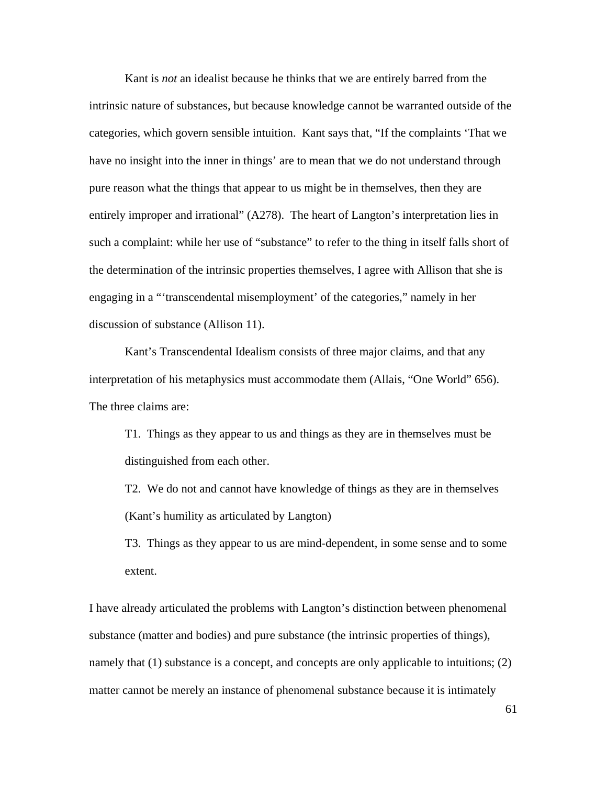Kant is *not* an idealist because he thinks that we are entirely barred from the intrinsic nature of substances, but because knowledge cannot be warranted outside of the categories, which govern sensible intuition. Kant says that, "If the complaints 'That we have no insight into the inner in things' are to mean that we do not understand through pure reason what the things that appear to us might be in themselves, then they are entirely improper and irrational" (A278). The heart of Langton's interpretation lies in such a complaint: while her use of "substance" to refer to the thing in itself falls short of the determination of the intrinsic properties themselves, I agree with Allison that she is engaging in a "'transcendental misemployment' of the categories," namely in her discussion of substance (Allison 11).

Kant's Transcendental Idealism consists of three major claims, and that any interpretation of his metaphysics must accommodate them (Allais, "One World" 656). The three claims are:

T1. Things as they appear to us and things as they are in themselves must be distinguished from each other.

T2. We do not and cannot have knowledge of things as they are in themselves (Kant's humility as articulated by Langton)

T3. Things as they appear to us are mind-dependent, in some sense and to some extent.

I have already articulated the problems with Langton's distinction between phenomenal substance (matter and bodies) and pure substance (the intrinsic properties of things), namely that (1) substance is a concept, and concepts are only applicable to intuitions; (2) matter cannot be merely an instance of phenomenal substance because it is intimately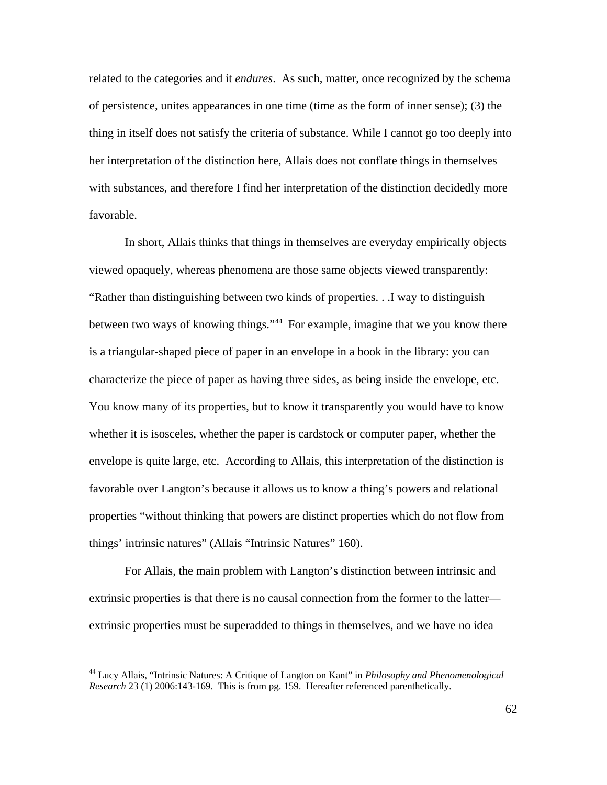related to the categories and it *endures*. As such, matter, once recognized by the schema of persistence, unites appearances in one time (time as the form of inner sense); (3) the thing in itself does not satisfy the criteria of substance. While I cannot go too deeply into her interpretation of the distinction here, Allais does not conflate things in themselves with substances, and therefore I find her interpretation of the distinction decidedly more favorable.

In short, Allais thinks that things in themselves are everyday empirically objects viewed opaquely, whereas phenomena are those same objects viewed transparently: "Rather than distinguishing between two kinds of properties. . .I way to distinguish between two ways of knowing things."<sup>[44](#page-64-0)</sup> For example, imagine that we you know there is a triangular-shaped piece of paper in an envelope in a book in the library: you can characterize the piece of paper as having three sides, as being inside the envelope, etc. You know many of its properties, but to know it transparently you would have to know whether it is isosceles, whether the paper is cardstock or computer paper, whether the envelope is quite large, etc. According to Allais, this interpretation of the distinction is favorable over Langton's because it allows us to know a thing's powers and relational properties "without thinking that powers are distinct properties which do not flow from things' intrinsic natures" (Allais "Intrinsic Natures" 160).

For Allais, the main problem with Langton's distinction between intrinsic and extrinsic properties is that there is no causal connection from the former to the latter extrinsic properties must be superadded to things in themselves, and we have no idea

<span id="page-64-0"></span><sup>44</sup> Lucy Allais, "Intrinsic Natures: A Critique of Langton on Kant" in *Philosophy and Phenomenological Research* 23 (1) 2006:143-169. This is from pg. 159. Hereafter referenced parenthetically.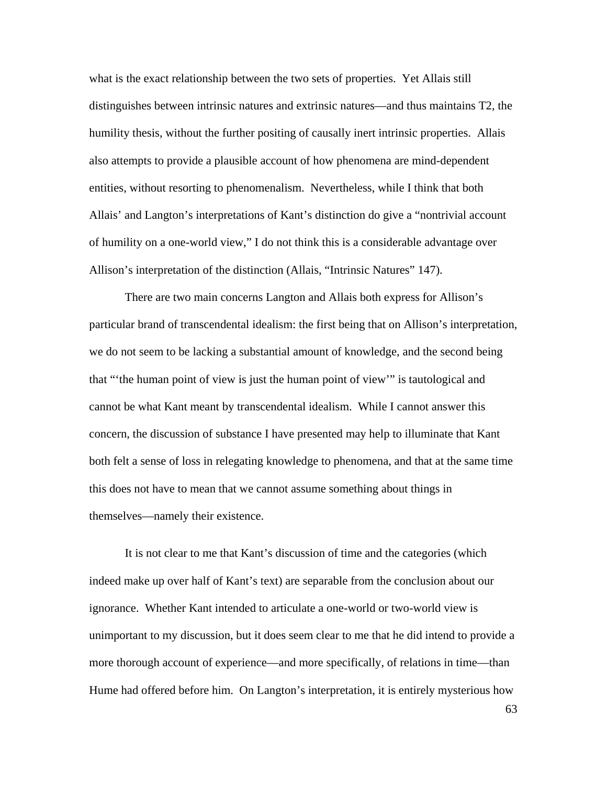what is the exact relationship between the two sets of properties. Yet Allais still distinguishes between intrinsic natures and extrinsic natures—and thus maintains T2, the humility thesis, without the further positing of causally inert intrinsic properties. Allais also attempts to provide a plausible account of how phenomena are mind-dependent entities, without resorting to phenomenalism. Nevertheless, while I think that both Allais' and Langton's interpretations of Kant's distinction do give a "nontrivial account of humility on a one-world view," I do not think this is a considerable advantage over Allison's interpretation of the distinction (Allais, "Intrinsic Natures" 147).

There are two main concerns Langton and Allais both express for Allison's particular brand of transcendental idealism: the first being that on Allison's interpretation, we do not seem to be lacking a substantial amount of knowledge, and the second being that "'the human point of view is just the human point of view'" is tautological and cannot be what Kant meant by transcendental idealism. While I cannot answer this concern, the discussion of substance I have presented may help to illuminate that Kant both felt a sense of loss in relegating knowledge to phenomena, and that at the same time this does not have to mean that we cannot assume something about things in themselves—namely their existence.

It is not clear to me that Kant's discussion of time and the categories (which indeed make up over half of Kant's text) are separable from the conclusion about our ignorance. Whether Kant intended to articulate a one-world or two-world view is unimportant to my discussion, but it does seem clear to me that he did intend to provide a more thorough account of experience—and more specifically, of relations in time—than Hume had offered before him. On Langton's interpretation, it is entirely mysterious how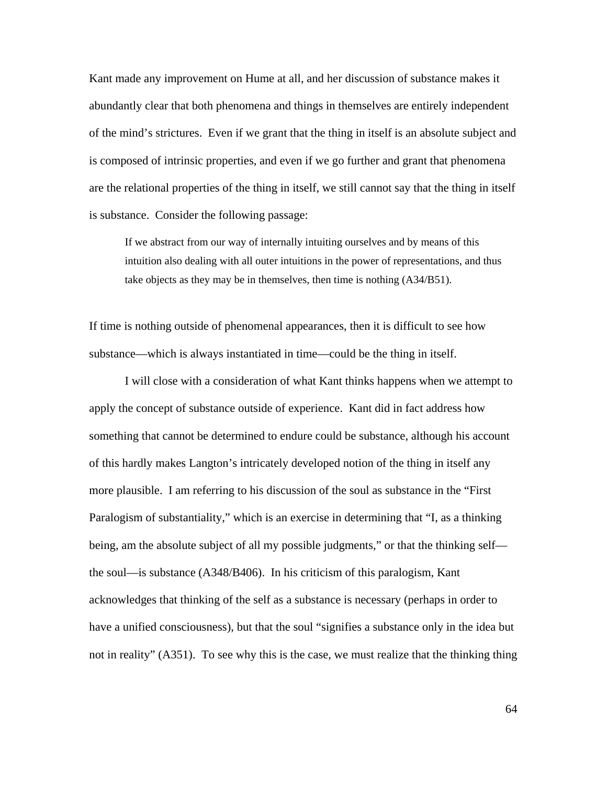Kant made any improvement on Hume at all, and her discussion of substance makes it abundantly clear that both phenomena and things in themselves are entirely independent of the mind's strictures. Even if we grant that the thing in itself is an absolute subject and is composed of intrinsic properties, and even if we go further and grant that phenomena are the relational properties of the thing in itself, we still cannot say that the thing in itself is substance. Consider the following passage:

If we abstract from our way of internally intuiting ourselves and by means of this intuition also dealing with all outer intuitions in the power of representations, and thus take objects as they may be in themselves, then time is nothing (A34/B51).

If time is nothing outside of phenomenal appearances, then it is difficult to see how substance—which is always instantiated in time—could be the thing in itself.

I will close with a consideration of what Kant thinks happens when we attempt to apply the concept of substance outside of experience. Kant did in fact address how something that cannot be determined to endure could be substance, although his account of this hardly makes Langton's intricately developed notion of the thing in itself any more plausible. I am referring to his discussion of the soul as substance in the "First Paralogism of substantiality," which is an exercise in determining that "I, as a thinking being, am the absolute subject of all my possible judgments," or that the thinking self the soul—is substance (A348/B406). In his criticism of this paralogism, Kant acknowledges that thinking of the self as a substance is necessary (perhaps in order to have a unified consciousness), but that the soul "signifies a substance only in the idea but not in reality" (A351). To see why this is the case, we must realize that the thinking thing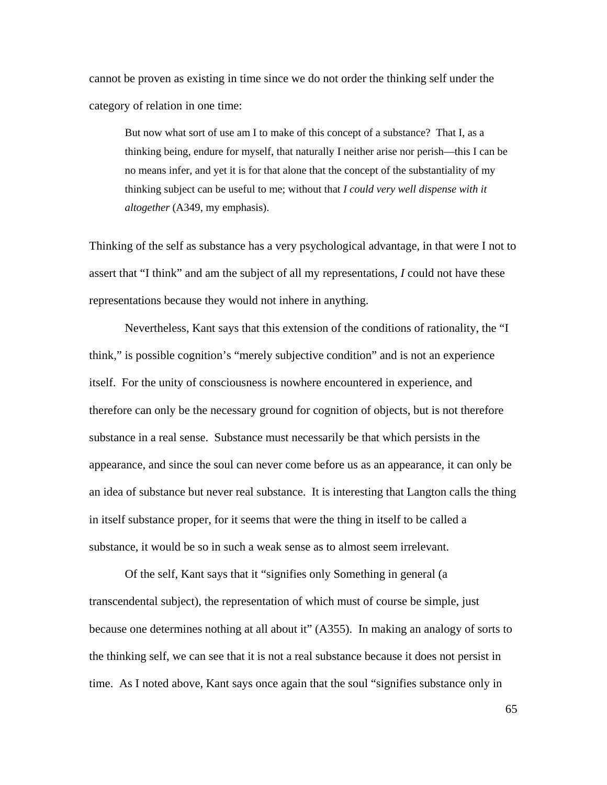cannot be proven as existing in time since we do not order the thinking self under the category of relation in one time:

But now what sort of use am I to make of this concept of a substance? That I, as a thinking being, endure for myself, that naturally I neither arise nor perish—this I can be no means infer, and yet it is for that alone that the concept of the substantiality of my thinking subject can be useful to me; without that *I could very well dispense with it altogether* (A349, my emphasis).

Thinking of the self as substance has a very psychological advantage, in that were I not to assert that "I think" and am the subject of all my representations, *I* could not have these representations because they would not inhere in anything.

Nevertheless, Kant says that this extension of the conditions of rationality, the "I think," is possible cognition's "merely subjective condition" and is not an experience itself. For the unity of consciousness is nowhere encountered in experience, and therefore can only be the necessary ground for cognition of objects, but is not therefore substance in a real sense. Substance must necessarily be that which persists in the appearance, and since the soul can never come before us as an appearance, it can only be an idea of substance but never real substance. It is interesting that Langton calls the thing in itself substance proper, for it seems that were the thing in itself to be called a substance, it would be so in such a weak sense as to almost seem irrelevant.

Of the self, Kant says that it "signifies only Something in general (a transcendental subject), the representation of which must of course be simple, just because one determines nothing at all about it" (A355). In making an analogy of sorts to the thinking self, we can see that it is not a real substance because it does not persist in time. As I noted above, Kant says once again that the soul "signifies substance only in